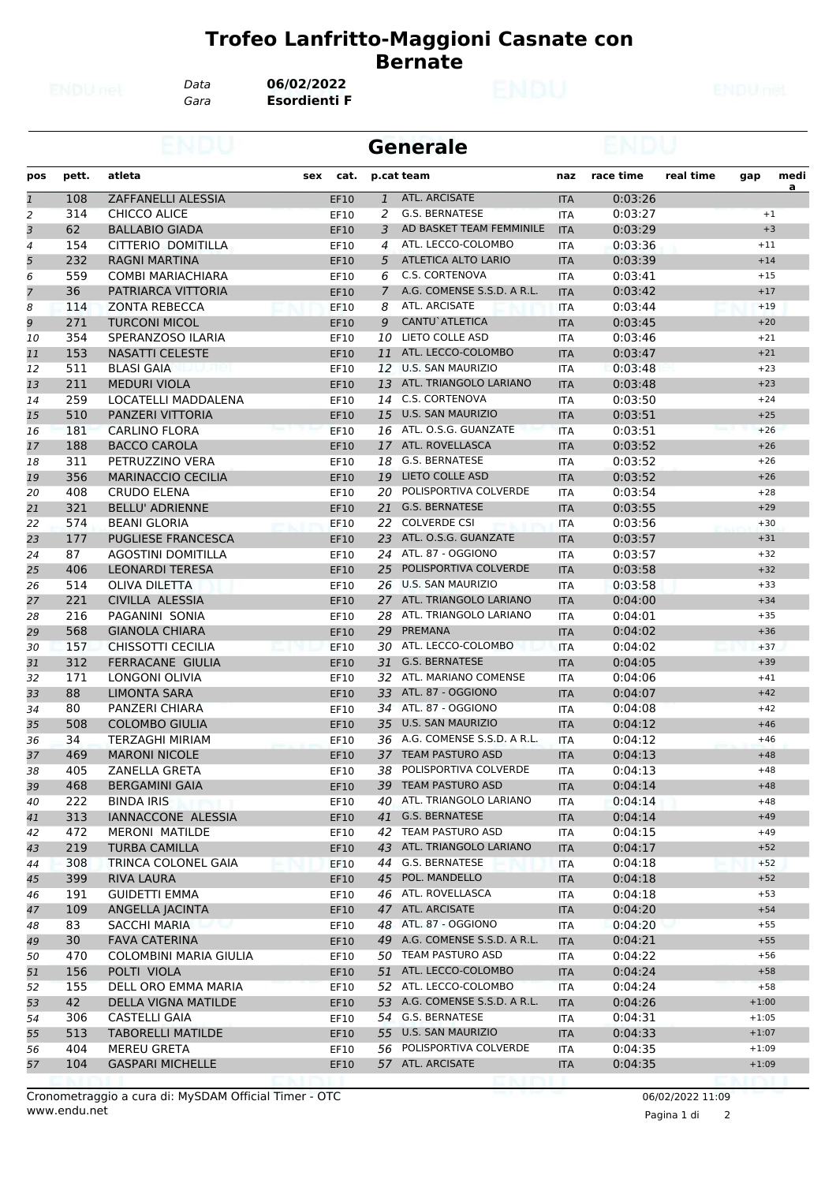*Data* **06/02/2022**

*Gara* **Esordienti F**

|                |       |                           |             |               | <b>Generale</b>               |            |           |           |         |           |
|----------------|-------|---------------------------|-------------|---------------|-------------------------------|------------|-----------|-----------|---------|-----------|
| pos            | pett. | atleta                    | cat.<br>sex |               | p.cat team                    | naz        | race time | real time | gap     | medi<br>a |
| $\mathbf{1}$   | 108   | ZAFFANELLI ALESSIA        | EF10        | $\mathbf{1}$  | <b>ATL. ARCISATE</b>          | <b>ITA</b> | 0:03:26   |           |         |           |
| $\overline{2}$ | 314   | <b>CHICCO ALICE</b>       | EF10        | 2             | G.S. BERNATESE                | <b>ITA</b> | 0:03:27   |           |         | $+1$      |
| 3              | 62    | <b>BALLABIO GIADA</b>     | EF10        | 3             | AD BASKET TEAM FEMMINILE      | <b>ITA</b> | 0:03:29   |           |         | $+3$      |
| 4              | 154   | CITTERIO DOMITILLA        | EF10        | 4             | ATL. LECCO-COLOMBO            | <b>ITA</b> | 0:03:36   |           | $+11$   |           |
| 5              | 232   | <b>RAGNI MARTINA</b>      | EF10        | 5             | ATLETICA ALTO LARIO           | <b>ITA</b> | 0:03:39   |           | $+14$   |           |
| 6              | 559   | <b>COMBI MARIACHIARA</b>  | EF10        | 6             | C.S. CORTENOVA                | <b>ITA</b> | 0:03:41   |           | $+15$   |           |
| 7              | 36    | PATRIARCA VITTORIA        | EF10        | $\mathcal{I}$ | A.G. COMENSE S.S.D. A R.L.    | <b>ITA</b> | 0:03:42   |           | $+17$   |           |
| 8              | 114   | <b>ZONTA REBECCA</b>      | EF10        | 8             | ATL. ARCISATE                 | <b>ITA</b> | 0:03:44   |           | $+19$   |           |
| 9              | 271   | <b>TURCONI MICOL</b>      | EF10        | 9             | <b>CANTU</b> ATLETICA         | <b>ITA</b> | 0:03:45   |           | $+20$   |           |
| 10             | 354   | SPERANZOSO ILARIA         | EF10        | 10            | LIETO COLLE ASD               | <b>ITA</b> | 0:03:46   |           | $+21$   |           |
| 11             | 153   | <b>NASATTI CELESTE</b>    | EF10        | 11            | ATL. LECCO-COLOMBO            | <b>ITA</b> | 0:03:47   |           | $+21$   |           |
| 12             | 511   | <b>BLASI GAIA</b>         | EF10        |               | 12 U.S. SAN MAURIZIO          | <b>ITA</b> | 0:03:48   |           | $+23$   |           |
| 13             | 211   | <b>MEDURI VIOLA</b>       | <b>EF10</b> | 13            | ATL. TRIANGOLO LARIANO        | <b>ITA</b> | 0:03:48   |           | $+23$   |           |
| 14             | 259   | LOCATELLI MADDALENA       | EF10        |               | 14 C.S. CORTENOVA             | ITA        | 0:03:50   |           | $+24$   |           |
| 15             | 510   | PANZERI VITTORIA          | EF10        | 15            | <b>U.S. SAN MAURIZIO</b>      | <b>ITA</b> | 0:03:51   |           | $+25$   |           |
| 16             | 181   | <b>CARLINO FLORA</b>      | <b>EF10</b> | 16            | ATL. O.S.G. GUANZATE          | <b>ITA</b> | 0:03:51   |           | $+26$   |           |
| 17             | 188   | <b>BACCO CAROLA</b>       | EF10        |               | 17 ATL. ROVELLASCA            | <b>ITA</b> | 0:03:52   |           | $+26$   |           |
| 18             | 311   | PETRUZZINO VERA           | EF10        | 18            | <b>G.S. BERNATESE</b>         | ITA        | 0:03:52   |           | $+26$   |           |
| 19             | 356   | <b>MARINACCIO CECILIA</b> | EF10        | 19            | <b>LIETO COLLE ASD</b>        | <b>ITA</b> | 0:03:52   |           | $+26$   |           |
| 20             | 408   | <b>CRUDO ELENA</b>        | EF10        | 20            | POLISPORTIVA COLVERDE         | <b>ITA</b> | 0:03:54   |           | $+28$   |           |
| 21             | 321   | <b>BELLU' ADRIENNE</b>    | EF10        |               | 21 G.S. BERNATESE             | <b>ITA</b> | 0:03:55   |           | $+29$   |           |
| 22             | 574   | <b>BEANI GLORIA</b>       | <b>EF10</b> | 22.           | <b>COLVERDE CSI</b>           | <b>ITA</b> | 0:03:56   |           | $+30$   |           |
| 23             | 177   | <b>PUGLIESE FRANCESCA</b> | EF10        |               | 23 ATL. O.S.G. GUANZATE       | <b>ITA</b> | 0:03:57   |           | $+31$   |           |
| 24             | 87    | <b>AGOSTINI DOMITILLA</b> | EF10        |               | 24 ATL. 87 - OGGIONO          | <b>ITA</b> | 0:03:57   |           | $+32$   |           |
| 25             | 406   | <b>LEONARDI TERESA</b>    | <b>EF10</b> | 25            | POLISPORTIVA COLVERDE         | <b>ITA</b> | 0:03:58   |           | $+32$   |           |
| 26             | 514   | <b>OLIVA DILETTA</b>      | EF10        | 26            | <b>U.S. SAN MAURIZIO</b>      | <b>ITA</b> | 0:03:58   |           | $+33$   |           |
| 27             | 221   | CIVILLA ALESSIA           | EF10        |               | 27 ATL. TRIANGOLO LARIANO     | <b>ITA</b> | 0:04:00   |           | $+34$   |           |
| 28             | 216   | PAGANINI SONIA            | EF10        | 28            | ATL. TRIANGOLO LARIANO        | <b>ITA</b> | 0:04:01   |           | $+35$   |           |
| 29             | 568   | <b>GIANOLA CHIARA</b>     | EF10        | 29            | PREMANA                       | <b>ITA</b> | 0:04:02   |           | $+36$   |           |
| 30             | 157   | CHISSOTTI CECILIA         | <b>EF10</b> | 30            | ATL. LECCO-COLOMBO            | <b>ITA</b> | 0:04:02   |           | $+37$   |           |
| 31             | 312   | <b>FERRACANE GIULIA</b>   | EF10        |               | 31 G.S. BERNATESE             | <b>ITA</b> | 0:04:05   |           | $+39$   |           |
| 32             | 171   | <b>LONGONI OLIVIA</b>     | EF10        | 32            | ATL. MARIANO COMENSE          | <b>ITA</b> | 0:04:06   |           | $+41$   |           |
| 33             | 88    | <b>LIMONTA SARA</b>       | EF10        |               | 33 ATL. 87 - OGGIONO          | <b>ITA</b> | 0:04:07   |           | $+42$   |           |
| 34             | 80    | PANZERI CHIARA            | EF10        |               | 34 ATL. 87 - OGGIONO          | <b>ITA</b> | 0:04:08   |           | $+42$   |           |
| 35             | 508   | <b>COLOMBO GIULIA</b>     | EF10        | 35            | <b>U.S. SAN MAURIZIO</b>      | <b>ITA</b> | 0:04:12   |           | $+46$   |           |
| 36             | 34    | <b>TERZAGHI MIRIAM</b>    | EF10        |               | 36 A.G. COMENSE S.S.D. A R.L. | <b>ITA</b> | 0:04:12   |           | $+46$   |           |
| 37             | 469   | <b>MARONI NICOLE</b>      | EF10        |               | 37 TEAM PASTURO ASD           | <b>ITA</b> | 0:04:13   |           | $+48$   |           |
| 38             | 405   | ZANELLA GRETA             | EF10        |               | 38 POLISPORTIVA COLVERDE      | <b>ITA</b> | 0:04:13   |           | +48     |           |
| 39             | 468   | <b>BERGAMINI GAIA</b>     | EF10        |               | 39 TEAM PASTURO ASD           | <b>ITA</b> | 0:04:14   |           | $+48$   |           |
| 40             | 222   | <b>BINDA IRIS</b>         | EF10        | 40            | ATL. TRIANGOLO LARIANO        | ITA        | 0:04:14   |           | $+48$   |           |
| 41             | 313   | IANNACCONE ALESSIA        | EF10        |               | 41 G.S. BERNATESE             | <b>ITA</b> | 0:04:14   |           | $+49$   |           |
| 42             | 472   | MERONI MATILDE            | EF10        |               | 42 TEAM PASTURO ASD           | ITA        | 0:04:15   |           | $+49$   |           |
| 43             | 219   | <b>TURBA CAMILLA</b>      | EF10        |               | 43 ATL. TRIANGOLO LARIANO     | <b>ITA</b> | 0:04:17   |           | $+52$   |           |
| 44             | 308   | TRINCA COLONEL GAIA       | EF10        |               | 44 G.S. BERNATESE             | ITA        | 0:04:18   |           | $+52$   |           |
| 45             | 399   | <b>RIVA LAURA</b>         | EF10        |               | 45 POL. MANDELLO              | <b>ITA</b> | 0:04:18   |           | $+52$   |           |
| 46             | 191   | <b>GUIDETTI EMMA</b>      | EF10        |               | 46 ATL. ROVELLASCA            | ITA        | 0:04:18   |           | $+53$   |           |
| 47             | 109   | ANGELLA JACINTA           | EF10        |               | 47 ATL. ARCISATE              | <b>ITA</b> | 0:04:20   |           | $+54$   |           |
| 48             | 83    | SACCHI MARIA              | EF10        |               | 48 ATL. 87 - OGGIONO          | ITA        | 0:04:20   |           | $+55$   |           |
| 49             | 30    | <b>FAVA CATERINA</b>      | EF10        |               | 49 A.G. COMENSE S.S.D. A R.L. | <b>ITA</b> | 0:04:21   |           | $+55$   |           |
| 50             | 470   | COLOMBINI MARIA GIULIA    | EF10        |               | 50 TEAM PASTURO ASD           | ITA        | 0:04:22   |           | $+56$   |           |
| 51             | 156   | POLTI VIOLA               | EF10        |               | 51 ATL. LECCO-COLOMBO         | <b>ITA</b> | 0:04:24   |           | $+58$   |           |
| 52             | 155   | DELL ORO EMMA MARIA       | EF10        |               | 52 ATL. LECCO-COLOMBO         | <b>ITA</b> | 0:04:24   |           | $+58$   |           |
| 53             | 42    | DELLA VIGNA MATILDE       | EF10        |               | 53 A.G. COMENSE S.S.D. A R.L. | <b>ITA</b> | 0:04:26   |           | $+1:00$ |           |
| 54             | 306   | <b>CASTELLI GAIA</b>      | EF10        |               | 54 G.S. BERNATESE             | ITA        | 0:04:31   |           | $+1:05$ |           |
| 55             | 513   | <b>TABORELLI MATILDE</b>  | EF10        |               | 55 U.S. SAN MAURIZIO          | <b>ITA</b> | 0:04:33   |           | $+1:07$ |           |
| 56             | 404   | <b>MEREU GRETA</b>        | EF10        |               | 56 POLISPORTIVA COLVERDE      | ITA        | 0:04:35   |           | $+1:09$ |           |
| 57             | 104   | <b>GASPARI MICHELLE</b>   | EF10        |               | 57 ATL. ARCISATE              | <b>ITA</b> | 0:04:35   |           | $+1:09$ |           |
|                |       |                           |             |               |                               |            |           |           |         |           |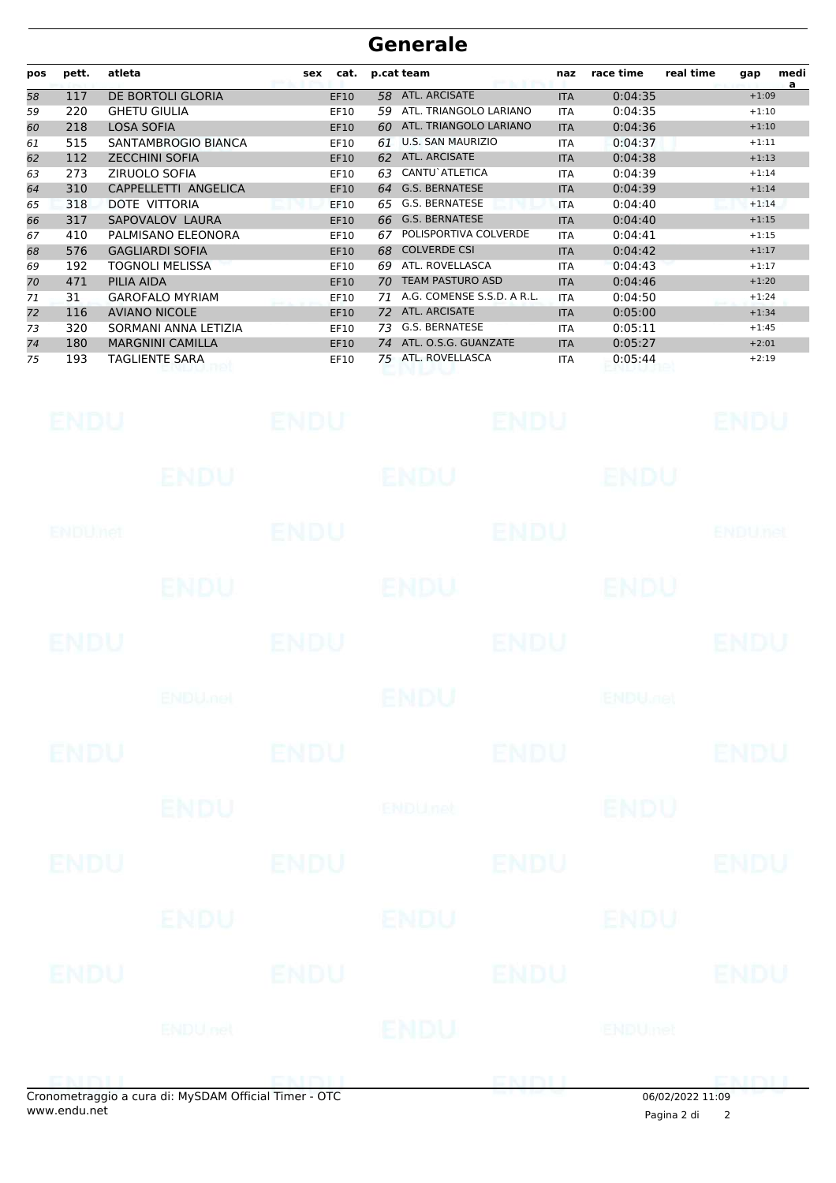| pos | pett. | atleta                  | cat.<br>sex | p.cat team                       | naz        | race time | real time<br>medi<br>gap<br>a |
|-----|-------|-------------------------|-------------|----------------------------------|------------|-----------|-------------------------------|
| 58  | 117   | DE BORTOLI GLORIA       | <b>EF10</b> | ATL. ARCISATE<br>58.             | <b>ITA</b> | 0:04:35   | $+1:09$                       |
| 59  | 220   | <b>GHETU GIULIA</b>     | EF10        | ATL. TRIANGOLO LARIANO<br>59     | <b>ITA</b> | 0:04:35   | $+1:10$                       |
| 60  | 218   | <b>LOSA SOFIA</b>       | <b>EF10</b> | ATL. TRIANGOLO LARIANO<br>60     | <b>ITA</b> | 0:04:36   | $+1:10$                       |
| 61  | 515   | SANTAMBROGIO BIANCA     | EF10        | <b>U.S. SAN MAURIZIO</b><br>61   | <b>ITA</b> | 0:04:37   | $+1:11$                       |
| 62  | 112   | <b>ZECCHINI SOFIA</b>   | <b>EF10</b> | ATL. ARCISATE<br>62              | <b>ITA</b> | 0:04:38   | $+1:13$                       |
| 63  | 273   | ZIRUOLO SOFIA           | EF10        | CANTU`ATLETICA<br>63             | <b>ITA</b> | 0:04:39   | $+1:14$                       |
| 64  | 310   | CAPPELLETTI ANGELICA    | <b>EF10</b> | <b>G.S. BERNATESE</b><br>64      | <b>ITA</b> | 0:04:39   | $+1:14$                       |
| 65  | 318   | DOTE VITTORIA           | EF10        | G.S. BERNATESE<br>65             | <b>ITA</b> | 0:04:40   | $+1:14$                       |
| 66  | 317   | SAPOVALOV LAURA         | <b>EF10</b> | <b>G.S. BERNATESE</b><br>66      | <b>ITA</b> | 0:04:40   | $+1:15$                       |
| 67  | 410   | PALMISANO ELEONORA      | EF10        | POLISPORTIVA COLVERDE<br>67      | <b>ITA</b> | 0:04:41   | $+1:15$                       |
| 68  | 576   | <b>GAGLIARDI SOFIA</b>  | EF10        | <b>COLVERDE CSI</b><br>68        | <b>ITA</b> | 0:04:42   | $+1:17$                       |
| 69  | 192   | TOGNOLI MELISSA         | EF10        | ATL. ROVELLASCA<br>69            | <b>ITA</b> | 0:04:43   | $+1:17$                       |
| 70  | 471   | PILIA AIDA              | <b>EF10</b> | <b>TEAM PASTURO ASD</b><br>70    | <b>ITA</b> | 0:04:46   | $+1:20$                       |
| 71  | 31    | <b>GAROFALO MYRIAM</b>  | EF10        | A.G. COMENSE S.S.D. A R.L.<br>71 | <b>ITA</b> | 0:04:50   | $+1:24$                       |
| 72  | 116   | <b>AVIANO NICOLE</b>    | <b>EF10</b> | ATL. ARCISATE<br>72              | <b>ITA</b> | 0:05:00   | $+1:34$                       |
| 73  | 320   | SORMANI ANNA LETIZIA    | EF10        | G.S. BERNATESE<br>73             | <b>ITA</b> | 0:05:11   | $+1:45$                       |
| 74  | 180   | <b>MARGNINI CAMILLA</b> | <b>EF10</b> | ATL. O.S.G. GUANZATE<br>74       | <b>ITA</b> | 0:05:27   | $+2:01$                       |
| 75  | 193   | TAGLIENTE SARA          | EF10        | ATL. ROVELLASCA<br>75            | <b>ITA</b> | 0:05:44   | $+2:19$                       |

| <b>ENDU</b> |                                                    |             | ENDU ENDU ENDU ENDU             |                  |             |
|-------------|----------------------------------------------------|-------------|---------------------------------|------------------|-------------|
|             |                                                    |             | ENDU ENDU ENDU ENDU             |                  |             |
| ENDUMET     |                                                    | <b>ENDU</b> | ENDU ENDUDED                    |                  |             |
|             |                                                    |             | ENDU ENDU ENDU                  |                  |             |
| <b>ENDU</b> |                                                    |             | ENDU ENDU ENDU ENDU             |                  |             |
|             |                                                    |             | ENDU MOU ENDU ENDU ENDU ENDU DE |                  |             |
| <b>ENDU</b> |                                                    |             | ENDU ENDU ENDU ENDU             |                  |             |
|             |                                                    |             | ENDU BUDUnet                    | <b>IENDU</b>     |             |
|             |                                                    |             | ENDU ENDU ENDU ENDU ENDU        |                  |             |
|             |                                                    |             | ENDU ENDU ENDU                  |                  |             |
|             |                                                    |             | ENDU ENDU ENDU ENDU ENDU        |                  |             |
|             |                                                    |             | ENDUnet ENDU                    |                  |             |
|             | enemetraggie a cura di: MySDAM Official Timer. OTC |             | ENDIJ ENDIJ                     | 0.61021202233300 | <b>ENDU</b> |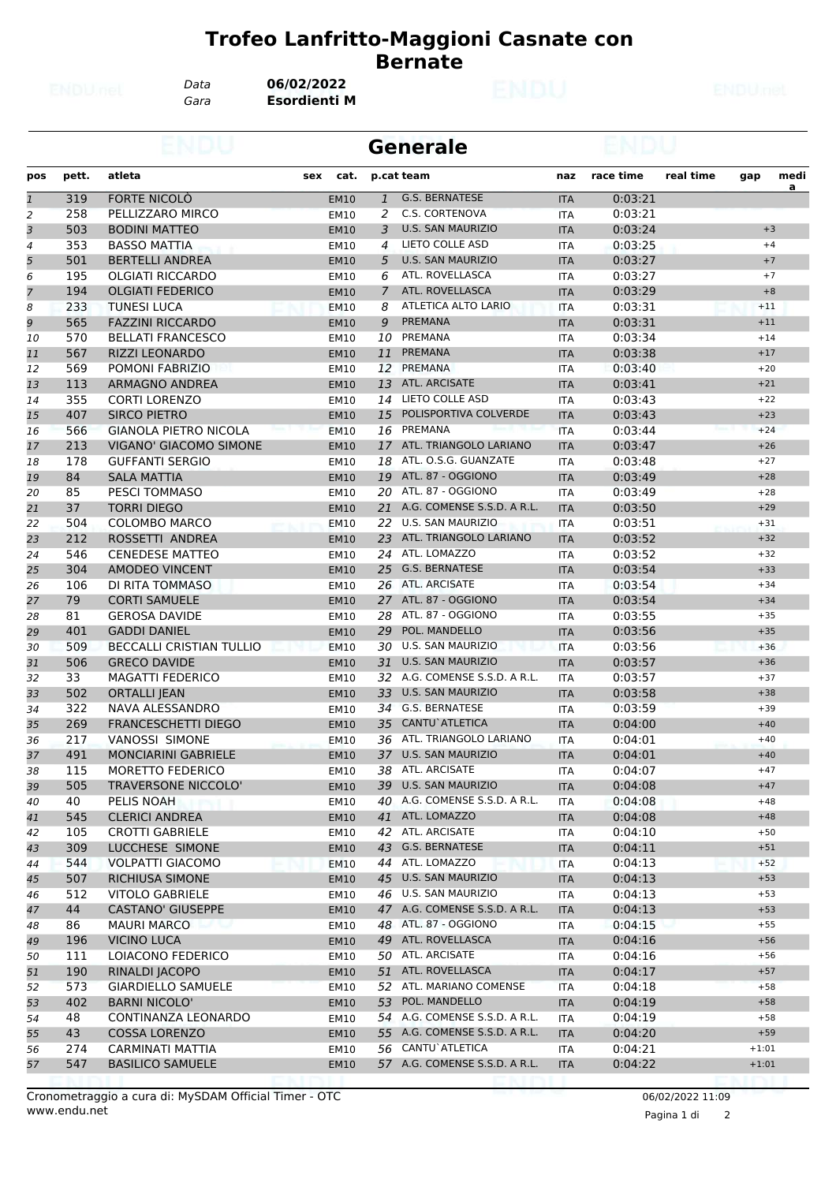*Data* **06/02/2022**

*Gara* **Esordienti M**

|                |       |                                                 |     |                     |              | <b>Generale</b>               |            |           |           |         |           |
|----------------|-------|-------------------------------------------------|-----|---------------------|--------------|-------------------------------|------------|-----------|-----------|---------|-----------|
| pos            | pett. | atleta                                          | sex | cat.                |              | p.cat team                    | naz        | race time | real time | gap     | medi<br>a |
| $\mathbf{1}$   | 319   | <b>FORTE NICOLO</b>                             |     | <b>EM10</b>         | $\mathbf{1}$ | <b>G.S. BERNATESE</b>         | <b>ITA</b> | 0:03:21   |           |         |           |
| $\overline{2}$ | 258   | PELLIZZARO MIRCO                                |     | <b>EM10</b>         | 2            | C.S. CORTENOVA                | <b>ITA</b> | 0:03:21   |           |         |           |
| 3              | 503   | <b>BODINI MATTEO</b>                            |     | <b>EM10</b>         | 3            | <b>U.S. SAN MAURIZIO</b>      | <b>ITA</b> | 0:03:24   |           |         | $+3$      |
| 4              | 353   | <b>BASSO MATTIA</b>                             |     | EM10                | 4            | LIETO COLLE ASD               | <b>ITA</b> | 0:03:25   |           |         | $+4$      |
| 5              | 501   | <b>BERTELLI ANDREA</b>                          |     | <b>EM10</b>         | 5            | <b>U.S. SAN MAURIZIO</b>      | <b>ITA</b> | 0:03:27   |           |         | $+7$      |
| 6              | 195   | <b>OLGIATI RICCARDO</b>                         |     | EM10                | 6            | ATL. ROVELLASCA               | <b>ITA</b> | 0:03:27   |           |         | $+7$      |
| $\overline{7}$ | 194   | <b>OLGIATI FEDERICO</b>                         |     | <b>EM10</b>         | 7            | ATL. ROVELLASCA               | <b>ITA</b> | 0:03:29   |           |         | $+8$      |
| 8              | 233   | <b>TUNESI LUCA</b>                              |     | <b>EM10</b>         | 8            | ATLETICA ALTO LARIO           | <b>ITA</b> | 0:03:31   |           | $+11$   |           |
| 9              | 565   | <b>FAZZINI RICCARDO</b>                         |     | <b>EM10</b>         | 9            | <b>PREMANA</b>                | <b>ITA</b> | 0:03:31   |           | $+11$   |           |
| 10             | 570   | <b>BELLATI FRANCESCO</b>                        |     | <b>EM10</b>         | 10           | PREMANA                       | <b>ITA</b> | 0:03:34   |           | $+14$   |           |
| 11             | 567   | <b>RIZZI LEONARDO</b>                           |     | <b>EM10</b>         | 11           | <b>PREMANA</b>                | <b>ITA</b> | 0:03:38   |           | $+17$   |           |
| 12             | 569   | POMONI FABRIZIO                                 |     | EM10                | 12           | PREMANA                       | <b>ITA</b> | 0:03:40   |           | $+20$   |           |
| 13             | 113   | ARMAGNO ANDREA                                  |     | <b>EM10</b>         | 13           | <b>ATL. ARCISATE</b>          | <b>ITA</b> | 0:03:41   |           | $+21$   |           |
| 14             | 355   | <b>CORTI LORENZO</b>                            |     | EM10                | 14           | LIETO COLLE ASD               | <b>ITA</b> | 0:03:43   |           | $+22$   |           |
| 15             | 407   | <b>SIRCO PIETRO</b>                             |     | <b>EM10</b>         | 15           | POLISPORTIVA COLVERDE         | <b>ITA</b> | 0:03:43   |           | $+23$   |           |
| 16             | 566   | <b>GIANOLA PIETRO NICOLA</b>                    |     | <b>EM10</b>         | 16           | PREMANA                       | <b>ITA</b> | 0:03:44   |           | $+24$   |           |
| 17             | 213   | <b>VIGANO' GIACOMO SIMONE</b>                   |     | <b>EM10</b>         | 17           | ATL. TRIANGOLO LARIANO        | <b>ITA</b> | 0:03:47   |           | $+26$   |           |
| 18             | 178   | <b>GUFFANTI SERGIO</b>                          |     | EM10                | 18           | ATL, O.S.G. GUANZATE          | <b>ITA</b> | 0:03:48   |           | $+27$   |           |
| 19             | 84    | <b>SALA MATTIA</b>                              |     | <b>EM10</b>         | 19           | ATL. 87 - OGGIONO             | <b>ITA</b> | 0:03:49   |           | $+28$   |           |
| 20             | 85    | <b>PESCI TOMMASO</b>                            |     | EM10                | 20           | ATL. 87 - OGGIONO             | <b>ITA</b> | 0:03:49   |           | $+28$   |           |
| 21             | 37    | <b>TORRI DIEGO</b>                              |     | <b>EM10</b>         | 21           | A.G. COMENSE S.S.D. A R.L.    | <b>ITA</b> | 0:03:50   |           | $+29$   |           |
| 22             | 504   | <b>COLOMBO MARCO</b>                            |     | <b>EM10</b>         | 22           | U.S. SAN MAURIZIO             | <b>ITA</b> | 0:03:51   |           | $+31$   |           |
| 23             | 212   | ROSSETTI ANDREA                                 |     | <b>EM10</b>         | 23           | ATL. TRIANGOLO LARIANO        | <b>ITA</b> | 0:03:52   |           | $+32$   |           |
| 24             | 546   | <b>CENEDESE MATTEO</b>                          |     | <b>EM10</b>         | 24           | ATL. LOMAZZO                  | ITA        | 0:03:52   |           | $+32$   |           |
| 25             | 304   | <b>AMODEO VINCENT</b>                           |     | <b>EM10</b>         | 25           | <b>G.S. BERNATESE</b>         | <b>ITA</b> | 0:03:54   |           | $+33$   |           |
| 26             | 106   | DI RITA TOMMASO                                 |     | EM10                | 26           | ATL. ARCISATE                 | <b>ITA</b> | 0:03:54   |           | $+34$   |           |
| 27             | 79    | <b>CORTI SAMUELE</b>                            |     | <b>EM10</b>         | 27           | ATL, 87 - OGGIONO             | <b>ITA</b> | 0:03:54   |           | $+34$   |           |
| 28             | 81    | <b>GEROSA DAVIDE</b>                            |     | <b>EM10</b>         | 28           | ATL. 87 - OGGIONO             | <b>ITA</b> | 0:03:55   |           | $+35$   |           |
| 29             | 401   | <b>GADDI DANIEL</b>                             |     | <b>EM10</b>         | 29           | POL. MANDELLO                 | <b>ITA</b> | 0:03:56   |           | $+35$   |           |
| 30             | 509   | <b>BECCALLI CRISTIAN TULLIO</b>                 |     | <b>EM10</b>         | 30           | <b>U.S. SAN MAURIZIO</b>      | <b>ITA</b> | 0:03:56   |           | $+36$   |           |
| 31             | 506   | <b>GRECO DAVIDE</b>                             |     | <b>EM10</b>         | 31           | <b>U.S. SAN MAURIZIO</b>      | <b>ITA</b> | 0:03:57   |           | $+36$   |           |
| 32             | 33    | <b>MAGATTI FEDERICO</b>                         |     | EM10                | 32           | A.G. COMENSE S.S.D. A R.L.    | <b>ITA</b> | 0:03:57   |           | $+37$   |           |
| 33             | 502   | <b>ORTALLI JEAN</b>                             |     | <b>EM10</b>         | 33           | <b>U.S. SAN MAURIZIO</b>      | <b>ITA</b> | 0:03:58   |           | $+38$   |           |
| 34             | 322   | NAVA ALESSANDRO                                 |     | <b>EM10</b>         |              | 34 G.S. BERNATESE             | <b>ITA</b> | 0:03:59   |           | $+39$   |           |
| 35             | 269   | <b>FRANCESCHETTI DIEGO</b>                      |     | <b>EM10</b>         | 35           | CANTU`ATLETICA                | <b>ITA</b> | 0:04:00   |           | $+40$   |           |
| 36             | 217   | VANOSSI SIMONE                                  |     | EM10                | 36           | ATL. TRIANGOLO LARIANO        | ITA        | 0:04:01   |           | $+40$   |           |
| 37             | 491   | <b>MONCIARINI GABRIELE</b>                      |     |                     |              | 37 U.S. SAN MAURIZIO          | <b>ITA</b> | 0:04:01   |           | $+40$   |           |
| 38             | 115   | MORETTO FEDERICO                                |     | <b>EM10</b><br>EM10 |              | 38 ATL. ARCISATE              | <b>ITA</b> | 0:04:07   |           | $+47$   |           |
|                | 505   | TRAVERSONE NICCOLO'                             |     | <b>EM10</b>         | 39           | <b>U.S. SAN MAURIZIO</b>      |            | 0:04:08   |           | $+47$   |           |
| 39             | 40    |                                                 |     |                     |              | 40 A.G. COMENSE S.S.D. A R.L. | <b>ITA</b> |           |           | $+48$   |           |
| 40             | 545   | PELIS NOAH                                      |     | EM10                |              | 41 ATL. LOMAZZO               | ITA        | 0:04:08   |           | $+48$   |           |
| 41             |       | <b>CLERICI ANDREA</b><br><b>CROTTI GABRIELE</b> |     | <b>EM10</b>         |              | 42 ATL. ARCISATE              | <b>ITA</b> | 0:04:08   |           |         |           |
| 42             | 105   |                                                 |     | EM10                |              | 43 G.S. BERNATESE             | ITA        | 0:04:10   |           | $+50$   |           |
| 43             | 309   | LUCCHESE SIMONE                                 |     | <b>EM10</b>         |              | 44 ATL. LOMAZZO               | <b>ITA</b> | 0:04:11   |           | $+51$   |           |
| 44             | 544   | <b>VOLPATTI GIACOMO</b>                         |     | <b>EM10</b>         |              |                               | ITA        | 0:04:13   |           | $+52$   |           |
| 45             | 507   | <b>RICHIUSA SIMONE</b>                          |     | <b>EM10</b>         |              | 45 U.S. SAN MAURIZIO          | <b>ITA</b> | 0:04:13   |           | $+53$   |           |
| 46             | 512   | <b>VITOLO GABRIELE</b>                          |     | EM10                |              | 46 U.S. SAN MAURIZIO          | ITA        | 0:04:13   |           | $+53$   |           |
| 47             | 44    | <b>CASTANO' GIUSEPPE</b>                        |     | <b>EM10</b>         |              | 47 A.G. COMENSE S.S.D. A R.L. | <b>ITA</b> | 0:04:13   |           | $+53$   |           |
| 48             | 86    | <b>MAURI MARCO</b>                              |     | EM10                |              | 48 ATL. 87 - OGGIONO          | ITA        | 0:04:15   |           | $+55$   |           |
| 49             | 196   | <b>VICINO LUCA</b>                              |     | <b>EM10</b>         |              | 49 ATL. ROVELLASCA            | <b>ITA</b> | 0:04:16   |           | $+56$   |           |
| 50             | 111   | LOIACONO FEDERICO                               |     | EM10                |              | 50 ATL. ARCISATE              | ITA        | 0:04:16   |           | $+56$   |           |
| 51             | 190   | RINALDI JACOPO                                  |     | <b>EM10</b>         |              | 51 ATL. ROVELLASCA            | <b>ITA</b> | 0:04:17   |           | $+57$   |           |
| 52             | 573   | <b>GIARDIELLO SAMUELE</b>                       |     | EM10                |              | 52 ATL. MARIANO COMENSE       | <b>ITA</b> | 0:04:18   |           | $+58$   |           |
| 53             | 402   | <b>BARNI NICOLO'</b>                            |     | <b>EM10</b>         | 53           | POL. MANDELLO                 | <b>ITA</b> | 0:04:19   |           | $+58$   |           |
| 54             | 48    | CONTINANZA LEONARDO                             |     | EM10                | 54           | A.G. COMENSE S.S.D. A R.L.    | ITA        | 0:04:19   |           | $+58$   |           |
| 55             | 43    | <b>COSSA LORENZO</b>                            |     | <b>EM10</b>         |              | 55 A.G. COMENSE S.S.D. A R.L. | <b>ITA</b> | 0:04:20   |           | $+59$   |           |
| 56             | 274   | CARMINATI MATTIA                                |     | EM10                |              | 56 CANTU ATLETICA             | ITA        | 0:04:21   |           | $+1:01$ |           |
| 57             | 547   | <b>BASILICO SAMUELE</b>                         |     | <b>EM10</b>         |              | 57 A.G. COMENSE S.S.D. A R.L. | <b>ITA</b> | 0:04:22   |           | $+1:01$ |           |
|                |       |                                                 |     |                     |              |                               |            |           |           |         |           |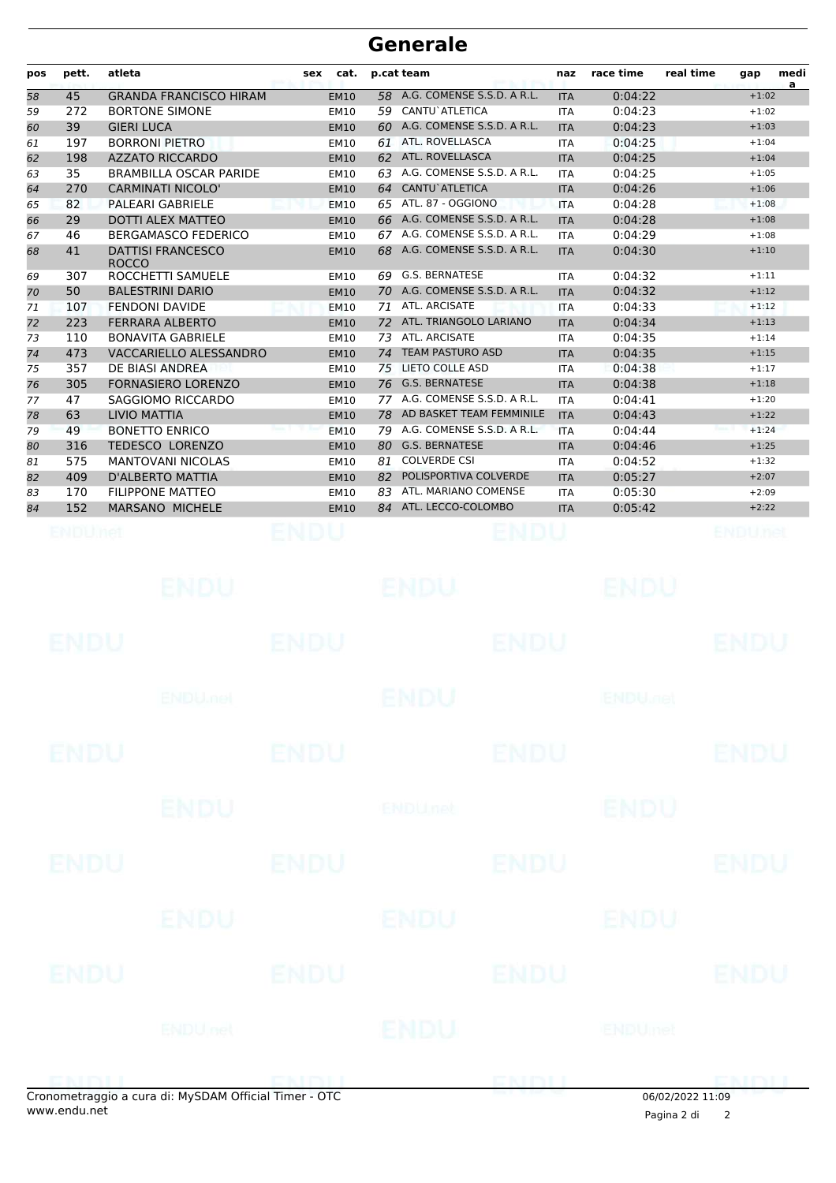| A.G. COMENSE S.S.D. A R.L.<br>58<br>0:04:22<br>$+1:02$<br>58<br>45<br><b>GRANDA FRANCISCO HIRAM</b><br><b>EM10</b><br><b>ITA</b><br>CANTU`ATLETICA<br>272<br><b>BORTONE SIMONE</b><br>59<br>0:04:23<br>$+1:02$<br>59<br>EM10<br><b>ITA</b><br>39<br><b>GIERI LUCA</b><br>60 A.G. COMENSE S.S.D. A R.L.<br>0:04:23<br><b>EM10</b><br><b>ITA</b><br>$+1:03$<br>60<br>61 ATL. ROVELLASCA<br><b>BORRONI PIETRO</b><br>$+1:04$<br>197<br>0:04:25<br>61<br><b>EM10</b><br><b>ITA</b><br>62 ATL. ROVELLASCA<br>198<br><b>AZZATO RICCARDO</b><br>0:04:25<br><b>EM10</b><br><b>ITA</b><br>$+1:04$<br>62<br>35<br>A.G. COMENSE S.S.D. A R.L.<br>0:04:25<br><b>BRAMBILLA OSCAR PARIDE</b><br>$+1:05$<br>63<br>EM10<br>63.<br><b>ITA</b><br>CANTU`ATLETICA<br><b>CARMINATI NICOLO'</b><br>0:04:26<br>270<br><b>EM10</b><br>64<br><b>ITA</b><br>$+1:06$<br>64<br>65 ATL. 87 - OGGIONO<br>82<br><b>PALEARI GABRIELE</b><br>0:04:28<br>65<br><b>EM10</b><br><b>ITA</b><br>$+1:08$<br>29<br>66 A.G. COMENSE S.S.D. A R.L.<br>0:04:28<br>DOTTI ALEX MATTEO<br><b>ITA</b><br><b>EM10</b><br>$+1:08$<br>66<br>A.G. COMENSE S.S.D. A R.L.<br><b>BERGAMASCO FEDERICO</b><br>0:04:29<br>$+1:08$<br>46<br><b>EM10</b><br>67<br>67.<br><b>ITA</b><br>A.G. COMENSE S.S.D. A R.L.<br><b>DATTISI FRANCESCO</b><br>0:04:30<br>41<br>68<br>$+1:10$<br>68<br><b>EM10</b><br><b>ITA</b><br><b>ROCCO</b><br><b>G.S. BERNATESE</b><br>ROCCHETTI SAMUELE<br>0:04:32<br>307<br><b>EM10</b><br>69<br>$+1:11$<br>69<br><b>ITA</b><br>50<br><b>BALESTRINI DARIO</b><br>70 A.G. COMENSE S.S.D. A R.L.<br><b>EM10</b><br><b>ITA</b><br>0:04:32<br>$+1:12$<br>70<br>71 ATL. ARCISATE<br><b>FENDONI DAVIDE</b><br>0:04:33<br>$+1:12$<br>107<br><b>EM10</b><br><b>ITA</b><br>71<br>72 ATL. TRIANGOLO LARIANO<br>223<br><b>FERRARA ALBERTO</b><br>0:04:34<br>72<br><b>EM10</b><br>$+1:13$<br><b>ITA</b><br>ATL. ARCISATE<br>0:04:35<br>110<br><b>BONAVITA GABRIELE</b><br>73<br>$+1:14$<br>73<br><b>EM10</b><br><b>ITA</b><br><b>TEAM PASTURO ASD</b><br>473<br>VACCARIELLO ALESSANDRO<br>0:04:35<br>74<br><b>EM10</b><br>74<br><b>ITA</b><br>$+1:15$<br>DE BIASI ANDREA<br><b>LIETO COLLE ASD</b><br>0:04:38<br>75<br>357<br><b>EM10</b><br>75<br>$+1:17$<br><b>ITA</b><br>305<br><b>G.S. BERNATESE</b><br><b>FORNASIERO LORENZO</b><br>76<br>0:04:38<br>$+1:18$<br><b>EM10</b><br><b>ITA</b><br>76<br>77 A.G. COMENSE S.S.D. A R.L.<br>SAGGIOMO RICCARDO<br>0:04:41<br>$+1:20$<br>47<br><b>EM10</b><br><b>ITA</b><br>77<br>63<br><b>LIVIO MATTIA</b><br>78 AD BASKET TEAM FEMMINILE<br>0:04:43<br><b>EM10</b><br><b>ITA</b><br>$+1:22$<br>78<br>49<br><b>BONETTO ENRICO</b><br>A.G. COMENSE S.S.D. A R.L.<br>0:04:44<br>$+1:24$<br>79<br>79<br><b>EM10</b><br><b>ITA</b><br><b>G.S. BERNATESE</b><br><b>TEDESCO LORENZO</b><br>316<br>80<br><b>ITA</b><br>0:04:46<br>$+1:25$<br>80<br><b>EM10</b><br>575<br><b>MANTOVANI NICOLAS</b><br><b>COLVERDE CSI</b><br>0:04:52<br><b>EM10</b><br>$+1:32$<br>81<br>81<br><b>ITA</b><br>409<br><b>D'ALBERTO MATTIA</b><br>POLISPORTIVA COLVERDE<br>0:05:27<br>82<br>$+2:07$<br><b>EM10</b><br><b>ITA</b><br>82<br>ATL. MARIANO COMENSE<br><b>FILIPPONE MATTEO</b><br>0:05:30<br>$+2:09$<br>170<br>EM10<br>83<br><b>ITA</b><br>83<br>152<br>MARSANO MICHELE<br>84 ATL. LECCO-COLOMBO<br>0:05:42<br><b>EM10</b><br><b>ITA</b><br>$+2:22$<br>84<br>ENDUMet<br>ENDU<br>ENDUnet<br>ENDU<br>ENDU<br>ENDU<br>ENDU<br>ENDU<br>ENDU<br>ENDU<br><b>ENDUMBL</b><br>ENDU<br><b>ENDU<sub>DER</sub></b><br><b>ENDU</b><br><b>ENDU</b><br><b>ENDU</b><br><b>ENDU</b><br><b>ENDU</b><br><b>ENDU</b><br><b>ENDUnet</b><br><b>ENDU</b><br><b>ENDU</b><br><b>ENDU</b><br><b>ENDU</b><br>ENDU<br>ENDU<br>ENDU<br>ENDU<br><b>ENDU</b><br>ENDU<br><b>ENDU</b><br>ENDU<br><b>ENDUnet</b><br><b>ENDUmet</b><br>ENDU<br>Cropometraggio a cura di: MySDAM Official Timer - OTC | pos | pett. | atleta | <b>sex</b> | cat. | p.cat team | naz | race time | real time | gap | medi<br>a |
|--------------------------------------------------------------------------------------------------------------------------------------------------------------------------------------------------------------------------------------------------------------------------------------------------------------------------------------------------------------------------------------------------------------------------------------------------------------------------------------------------------------------------------------------------------------------------------------------------------------------------------------------------------------------------------------------------------------------------------------------------------------------------------------------------------------------------------------------------------------------------------------------------------------------------------------------------------------------------------------------------------------------------------------------------------------------------------------------------------------------------------------------------------------------------------------------------------------------------------------------------------------------------------------------------------------------------------------------------------------------------------------------------------------------------------------------------------------------------------------------------------------------------------------------------------------------------------------------------------------------------------------------------------------------------------------------------------------------------------------------------------------------------------------------------------------------------------------------------------------------------------------------------------------------------------------------------------------------------------------------------------------------------------------------------------------------------------------------------------------------------------------------------------------------------------------------------------------------------------------------------------------------------------------------------------------------------------------------------------------------------------------------------------------------------------------------------------------------------------------------------------------------------------------------------------------------------------------------------------------------------------------------------------------------------------------------------------------------------------------------------------------------------------------------------------------------------------------------------------------------------------------------------------------------------------------------------------------------------------------------------------------------------------------------------------------------------------------------------------------------------------------------------------------------------------------------------------------------------------------------------------------------------------------------------------------------------------------------------------------------------------------------------------------------------------------------------------------------------------------------------------------------------------------------------------------------------------------------------------------------------------------------------------------------------------------------------------------------------------------------------------------------------------------------------------------------------------------------------|-----|-------|--------|------------|------|------------|-----|-----------|-----------|-----|-----------|
|                                                                                                                                                                                                                                                                                                                                                                                                                                                                                                                                                                                                                                                                                                                                                                                                                                                                                                                                                                                                                                                                                                                                                                                                                                                                                                                                                                                                                                                                                                                                                                                                                                                                                                                                                                                                                                                                                                                                                                                                                                                                                                                                                                                                                                                                                                                                                                                                                                                                                                                                                                                                                                                                                                                                                                                                                                                                                                                                                                                                                                                                                                                                                                                                                                                                                                                                                                                                                                                                                                                                                                                                                                                                                                                                                                                                                                                  |     |       |        |            |      |            |     |           |           |     |           |
|                                                                                                                                                                                                                                                                                                                                                                                                                                                                                                                                                                                                                                                                                                                                                                                                                                                                                                                                                                                                                                                                                                                                                                                                                                                                                                                                                                                                                                                                                                                                                                                                                                                                                                                                                                                                                                                                                                                                                                                                                                                                                                                                                                                                                                                                                                                                                                                                                                                                                                                                                                                                                                                                                                                                                                                                                                                                                                                                                                                                                                                                                                                                                                                                                                                                                                                                                                                                                                                                                                                                                                                                                                                                                                                                                                                                                                                  |     |       |        |            |      |            |     |           |           |     |           |
|                                                                                                                                                                                                                                                                                                                                                                                                                                                                                                                                                                                                                                                                                                                                                                                                                                                                                                                                                                                                                                                                                                                                                                                                                                                                                                                                                                                                                                                                                                                                                                                                                                                                                                                                                                                                                                                                                                                                                                                                                                                                                                                                                                                                                                                                                                                                                                                                                                                                                                                                                                                                                                                                                                                                                                                                                                                                                                                                                                                                                                                                                                                                                                                                                                                                                                                                                                                                                                                                                                                                                                                                                                                                                                                                                                                                                                                  |     |       |        |            |      |            |     |           |           |     |           |
|                                                                                                                                                                                                                                                                                                                                                                                                                                                                                                                                                                                                                                                                                                                                                                                                                                                                                                                                                                                                                                                                                                                                                                                                                                                                                                                                                                                                                                                                                                                                                                                                                                                                                                                                                                                                                                                                                                                                                                                                                                                                                                                                                                                                                                                                                                                                                                                                                                                                                                                                                                                                                                                                                                                                                                                                                                                                                                                                                                                                                                                                                                                                                                                                                                                                                                                                                                                                                                                                                                                                                                                                                                                                                                                                                                                                                                                  |     |       |        |            |      |            |     |           |           |     |           |
|                                                                                                                                                                                                                                                                                                                                                                                                                                                                                                                                                                                                                                                                                                                                                                                                                                                                                                                                                                                                                                                                                                                                                                                                                                                                                                                                                                                                                                                                                                                                                                                                                                                                                                                                                                                                                                                                                                                                                                                                                                                                                                                                                                                                                                                                                                                                                                                                                                                                                                                                                                                                                                                                                                                                                                                                                                                                                                                                                                                                                                                                                                                                                                                                                                                                                                                                                                                                                                                                                                                                                                                                                                                                                                                                                                                                                                                  |     |       |        |            |      |            |     |           |           |     |           |
|                                                                                                                                                                                                                                                                                                                                                                                                                                                                                                                                                                                                                                                                                                                                                                                                                                                                                                                                                                                                                                                                                                                                                                                                                                                                                                                                                                                                                                                                                                                                                                                                                                                                                                                                                                                                                                                                                                                                                                                                                                                                                                                                                                                                                                                                                                                                                                                                                                                                                                                                                                                                                                                                                                                                                                                                                                                                                                                                                                                                                                                                                                                                                                                                                                                                                                                                                                                                                                                                                                                                                                                                                                                                                                                                                                                                                                                  |     |       |        |            |      |            |     |           |           |     |           |
|                                                                                                                                                                                                                                                                                                                                                                                                                                                                                                                                                                                                                                                                                                                                                                                                                                                                                                                                                                                                                                                                                                                                                                                                                                                                                                                                                                                                                                                                                                                                                                                                                                                                                                                                                                                                                                                                                                                                                                                                                                                                                                                                                                                                                                                                                                                                                                                                                                                                                                                                                                                                                                                                                                                                                                                                                                                                                                                                                                                                                                                                                                                                                                                                                                                                                                                                                                                                                                                                                                                                                                                                                                                                                                                                                                                                                                                  |     |       |        |            |      |            |     |           |           |     |           |
|                                                                                                                                                                                                                                                                                                                                                                                                                                                                                                                                                                                                                                                                                                                                                                                                                                                                                                                                                                                                                                                                                                                                                                                                                                                                                                                                                                                                                                                                                                                                                                                                                                                                                                                                                                                                                                                                                                                                                                                                                                                                                                                                                                                                                                                                                                                                                                                                                                                                                                                                                                                                                                                                                                                                                                                                                                                                                                                                                                                                                                                                                                                                                                                                                                                                                                                                                                                                                                                                                                                                                                                                                                                                                                                                                                                                                                                  |     |       |        |            |      |            |     |           |           |     |           |
|                                                                                                                                                                                                                                                                                                                                                                                                                                                                                                                                                                                                                                                                                                                                                                                                                                                                                                                                                                                                                                                                                                                                                                                                                                                                                                                                                                                                                                                                                                                                                                                                                                                                                                                                                                                                                                                                                                                                                                                                                                                                                                                                                                                                                                                                                                                                                                                                                                                                                                                                                                                                                                                                                                                                                                                                                                                                                                                                                                                                                                                                                                                                                                                                                                                                                                                                                                                                                                                                                                                                                                                                                                                                                                                                                                                                                                                  |     |       |        |            |      |            |     |           |           |     |           |
|                                                                                                                                                                                                                                                                                                                                                                                                                                                                                                                                                                                                                                                                                                                                                                                                                                                                                                                                                                                                                                                                                                                                                                                                                                                                                                                                                                                                                                                                                                                                                                                                                                                                                                                                                                                                                                                                                                                                                                                                                                                                                                                                                                                                                                                                                                                                                                                                                                                                                                                                                                                                                                                                                                                                                                                                                                                                                                                                                                                                                                                                                                                                                                                                                                                                                                                                                                                                                                                                                                                                                                                                                                                                                                                                                                                                                                                  |     |       |        |            |      |            |     |           |           |     |           |
|                                                                                                                                                                                                                                                                                                                                                                                                                                                                                                                                                                                                                                                                                                                                                                                                                                                                                                                                                                                                                                                                                                                                                                                                                                                                                                                                                                                                                                                                                                                                                                                                                                                                                                                                                                                                                                                                                                                                                                                                                                                                                                                                                                                                                                                                                                                                                                                                                                                                                                                                                                                                                                                                                                                                                                                                                                                                                                                                                                                                                                                                                                                                                                                                                                                                                                                                                                                                                                                                                                                                                                                                                                                                                                                                                                                                                                                  |     |       |        |            |      |            |     |           |           |     |           |
|                                                                                                                                                                                                                                                                                                                                                                                                                                                                                                                                                                                                                                                                                                                                                                                                                                                                                                                                                                                                                                                                                                                                                                                                                                                                                                                                                                                                                                                                                                                                                                                                                                                                                                                                                                                                                                                                                                                                                                                                                                                                                                                                                                                                                                                                                                                                                                                                                                                                                                                                                                                                                                                                                                                                                                                                                                                                                                                                                                                                                                                                                                                                                                                                                                                                                                                                                                                                                                                                                                                                                                                                                                                                                                                                                                                                                                                  |     |       |        |            |      |            |     |           |           |     |           |
|                                                                                                                                                                                                                                                                                                                                                                                                                                                                                                                                                                                                                                                                                                                                                                                                                                                                                                                                                                                                                                                                                                                                                                                                                                                                                                                                                                                                                                                                                                                                                                                                                                                                                                                                                                                                                                                                                                                                                                                                                                                                                                                                                                                                                                                                                                                                                                                                                                                                                                                                                                                                                                                                                                                                                                                                                                                                                                                                                                                                                                                                                                                                                                                                                                                                                                                                                                                                                                                                                                                                                                                                                                                                                                                                                                                                                                                  |     |       |        |            |      |            |     |           |           |     |           |
|                                                                                                                                                                                                                                                                                                                                                                                                                                                                                                                                                                                                                                                                                                                                                                                                                                                                                                                                                                                                                                                                                                                                                                                                                                                                                                                                                                                                                                                                                                                                                                                                                                                                                                                                                                                                                                                                                                                                                                                                                                                                                                                                                                                                                                                                                                                                                                                                                                                                                                                                                                                                                                                                                                                                                                                                                                                                                                                                                                                                                                                                                                                                                                                                                                                                                                                                                                                                                                                                                                                                                                                                                                                                                                                                                                                                                                                  |     |       |        |            |      |            |     |           |           |     |           |
|                                                                                                                                                                                                                                                                                                                                                                                                                                                                                                                                                                                                                                                                                                                                                                                                                                                                                                                                                                                                                                                                                                                                                                                                                                                                                                                                                                                                                                                                                                                                                                                                                                                                                                                                                                                                                                                                                                                                                                                                                                                                                                                                                                                                                                                                                                                                                                                                                                                                                                                                                                                                                                                                                                                                                                                                                                                                                                                                                                                                                                                                                                                                                                                                                                                                                                                                                                                                                                                                                                                                                                                                                                                                                                                                                                                                                                                  |     |       |        |            |      |            |     |           |           |     |           |
|                                                                                                                                                                                                                                                                                                                                                                                                                                                                                                                                                                                                                                                                                                                                                                                                                                                                                                                                                                                                                                                                                                                                                                                                                                                                                                                                                                                                                                                                                                                                                                                                                                                                                                                                                                                                                                                                                                                                                                                                                                                                                                                                                                                                                                                                                                                                                                                                                                                                                                                                                                                                                                                                                                                                                                                                                                                                                                                                                                                                                                                                                                                                                                                                                                                                                                                                                                                                                                                                                                                                                                                                                                                                                                                                                                                                                                                  |     |       |        |            |      |            |     |           |           |     |           |
|                                                                                                                                                                                                                                                                                                                                                                                                                                                                                                                                                                                                                                                                                                                                                                                                                                                                                                                                                                                                                                                                                                                                                                                                                                                                                                                                                                                                                                                                                                                                                                                                                                                                                                                                                                                                                                                                                                                                                                                                                                                                                                                                                                                                                                                                                                                                                                                                                                                                                                                                                                                                                                                                                                                                                                                                                                                                                                                                                                                                                                                                                                                                                                                                                                                                                                                                                                                                                                                                                                                                                                                                                                                                                                                                                                                                                                                  |     |       |        |            |      |            |     |           |           |     |           |
|                                                                                                                                                                                                                                                                                                                                                                                                                                                                                                                                                                                                                                                                                                                                                                                                                                                                                                                                                                                                                                                                                                                                                                                                                                                                                                                                                                                                                                                                                                                                                                                                                                                                                                                                                                                                                                                                                                                                                                                                                                                                                                                                                                                                                                                                                                                                                                                                                                                                                                                                                                                                                                                                                                                                                                                                                                                                                                                                                                                                                                                                                                                                                                                                                                                                                                                                                                                                                                                                                                                                                                                                                                                                                                                                                                                                                                                  |     |       |        |            |      |            |     |           |           |     |           |
|                                                                                                                                                                                                                                                                                                                                                                                                                                                                                                                                                                                                                                                                                                                                                                                                                                                                                                                                                                                                                                                                                                                                                                                                                                                                                                                                                                                                                                                                                                                                                                                                                                                                                                                                                                                                                                                                                                                                                                                                                                                                                                                                                                                                                                                                                                                                                                                                                                                                                                                                                                                                                                                                                                                                                                                                                                                                                                                                                                                                                                                                                                                                                                                                                                                                                                                                                                                                                                                                                                                                                                                                                                                                                                                                                                                                                                                  |     |       |        |            |      |            |     |           |           |     |           |
|                                                                                                                                                                                                                                                                                                                                                                                                                                                                                                                                                                                                                                                                                                                                                                                                                                                                                                                                                                                                                                                                                                                                                                                                                                                                                                                                                                                                                                                                                                                                                                                                                                                                                                                                                                                                                                                                                                                                                                                                                                                                                                                                                                                                                                                                                                                                                                                                                                                                                                                                                                                                                                                                                                                                                                                                                                                                                                                                                                                                                                                                                                                                                                                                                                                                                                                                                                                                                                                                                                                                                                                                                                                                                                                                                                                                                                                  |     |       |        |            |      |            |     |           |           |     |           |
|                                                                                                                                                                                                                                                                                                                                                                                                                                                                                                                                                                                                                                                                                                                                                                                                                                                                                                                                                                                                                                                                                                                                                                                                                                                                                                                                                                                                                                                                                                                                                                                                                                                                                                                                                                                                                                                                                                                                                                                                                                                                                                                                                                                                                                                                                                                                                                                                                                                                                                                                                                                                                                                                                                                                                                                                                                                                                                                                                                                                                                                                                                                                                                                                                                                                                                                                                                                                                                                                                                                                                                                                                                                                                                                                                                                                                                                  |     |       |        |            |      |            |     |           |           |     |           |
|                                                                                                                                                                                                                                                                                                                                                                                                                                                                                                                                                                                                                                                                                                                                                                                                                                                                                                                                                                                                                                                                                                                                                                                                                                                                                                                                                                                                                                                                                                                                                                                                                                                                                                                                                                                                                                                                                                                                                                                                                                                                                                                                                                                                                                                                                                                                                                                                                                                                                                                                                                                                                                                                                                                                                                                                                                                                                                                                                                                                                                                                                                                                                                                                                                                                                                                                                                                                                                                                                                                                                                                                                                                                                                                                                                                                                                                  |     |       |        |            |      |            |     |           |           |     |           |
|                                                                                                                                                                                                                                                                                                                                                                                                                                                                                                                                                                                                                                                                                                                                                                                                                                                                                                                                                                                                                                                                                                                                                                                                                                                                                                                                                                                                                                                                                                                                                                                                                                                                                                                                                                                                                                                                                                                                                                                                                                                                                                                                                                                                                                                                                                                                                                                                                                                                                                                                                                                                                                                                                                                                                                                                                                                                                                                                                                                                                                                                                                                                                                                                                                                                                                                                                                                                                                                                                                                                                                                                                                                                                                                                                                                                                                                  |     |       |        |            |      |            |     |           |           |     |           |
|                                                                                                                                                                                                                                                                                                                                                                                                                                                                                                                                                                                                                                                                                                                                                                                                                                                                                                                                                                                                                                                                                                                                                                                                                                                                                                                                                                                                                                                                                                                                                                                                                                                                                                                                                                                                                                                                                                                                                                                                                                                                                                                                                                                                                                                                                                                                                                                                                                                                                                                                                                                                                                                                                                                                                                                                                                                                                                                                                                                                                                                                                                                                                                                                                                                                                                                                                                                                                                                                                                                                                                                                                                                                                                                                                                                                                                                  |     |       |        |            |      |            |     |           |           |     |           |
|                                                                                                                                                                                                                                                                                                                                                                                                                                                                                                                                                                                                                                                                                                                                                                                                                                                                                                                                                                                                                                                                                                                                                                                                                                                                                                                                                                                                                                                                                                                                                                                                                                                                                                                                                                                                                                                                                                                                                                                                                                                                                                                                                                                                                                                                                                                                                                                                                                                                                                                                                                                                                                                                                                                                                                                                                                                                                                                                                                                                                                                                                                                                                                                                                                                                                                                                                                                                                                                                                                                                                                                                                                                                                                                                                                                                                                                  |     |       |        |            |      |            |     |           |           |     |           |
|                                                                                                                                                                                                                                                                                                                                                                                                                                                                                                                                                                                                                                                                                                                                                                                                                                                                                                                                                                                                                                                                                                                                                                                                                                                                                                                                                                                                                                                                                                                                                                                                                                                                                                                                                                                                                                                                                                                                                                                                                                                                                                                                                                                                                                                                                                                                                                                                                                                                                                                                                                                                                                                                                                                                                                                                                                                                                                                                                                                                                                                                                                                                                                                                                                                                                                                                                                                                                                                                                                                                                                                                                                                                                                                                                                                                                                                  |     |       |        |            |      |            |     |           |           |     |           |
|                                                                                                                                                                                                                                                                                                                                                                                                                                                                                                                                                                                                                                                                                                                                                                                                                                                                                                                                                                                                                                                                                                                                                                                                                                                                                                                                                                                                                                                                                                                                                                                                                                                                                                                                                                                                                                                                                                                                                                                                                                                                                                                                                                                                                                                                                                                                                                                                                                                                                                                                                                                                                                                                                                                                                                                                                                                                                                                                                                                                                                                                                                                                                                                                                                                                                                                                                                                                                                                                                                                                                                                                                                                                                                                                                                                                                                                  |     |       |        |            |      |            |     |           |           |     |           |
|                                                                                                                                                                                                                                                                                                                                                                                                                                                                                                                                                                                                                                                                                                                                                                                                                                                                                                                                                                                                                                                                                                                                                                                                                                                                                                                                                                                                                                                                                                                                                                                                                                                                                                                                                                                                                                                                                                                                                                                                                                                                                                                                                                                                                                                                                                                                                                                                                                                                                                                                                                                                                                                                                                                                                                                                                                                                                                                                                                                                                                                                                                                                                                                                                                                                                                                                                                                                                                                                                                                                                                                                                                                                                                                                                                                                                                                  |     |       |        |            |      |            |     |           |           |     |           |
|                                                                                                                                                                                                                                                                                                                                                                                                                                                                                                                                                                                                                                                                                                                                                                                                                                                                                                                                                                                                                                                                                                                                                                                                                                                                                                                                                                                                                                                                                                                                                                                                                                                                                                                                                                                                                                                                                                                                                                                                                                                                                                                                                                                                                                                                                                                                                                                                                                                                                                                                                                                                                                                                                                                                                                                                                                                                                                                                                                                                                                                                                                                                                                                                                                                                                                                                                                                                                                                                                                                                                                                                                                                                                                                                                                                                                                                  |     |       |        |            |      |            |     |           |           |     |           |
|                                                                                                                                                                                                                                                                                                                                                                                                                                                                                                                                                                                                                                                                                                                                                                                                                                                                                                                                                                                                                                                                                                                                                                                                                                                                                                                                                                                                                                                                                                                                                                                                                                                                                                                                                                                                                                                                                                                                                                                                                                                                                                                                                                                                                                                                                                                                                                                                                                                                                                                                                                                                                                                                                                                                                                                                                                                                                                                                                                                                                                                                                                                                                                                                                                                                                                                                                                                                                                                                                                                                                                                                                                                                                                                                                                                                                                                  |     |       |        |            |      |            |     |           |           |     |           |
|                                                                                                                                                                                                                                                                                                                                                                                                                                                                                                                                                                                                                                                                                                                                                                                                                                                                                                                                                                                                                                                                                                                                                                                                                                                                                                                                                                                                                                                                                                                                                                                                                                                                                                                                                                                                                                                                                                                                                                                                                                                                                                                                                                                                                                                                                                                                                                                                                                                                                                                                                                                                                                                                                                                                                                                                                                                                                                                                                                                                                                                                                                                                                                                                                                                                                                                                                                                                                                                                                                                                                                                                                                                                                                                                                                                                                                                  |     |       |        |            |      |            |     |           |           |     |           |
|                                                                                                                                                                                                                                                                                                                                                                                                                                                                                                                                                                                                                                                                                                                                                                                                                                                                                                                                                                                                                                                                                                                                                                                                                                                                                                                                                                                                                                                                                                                                                                                                                                                                                                                                                                                                                                                                                                                                                                                                                                                                                                                                                                                                                                                                                                                                                                                                                                                                                                                                                                                                                                                                                                                                                                                                                                                                                                                                                                                                                                                                                                                                                                                                                                                                                                                                                                                                                                                                                                                                                                                                                                                                                                                                                                                                                                                  |     |       |        |            |      |            |     |           |           |     |           |
|                                                                                                                                                                                                                                                                                                                                                                                                                                                                                                                                                                                                                                                                                                                                                                                                                                                                                                                                                                                                                                                                                                                                                                                                                                                                                                                                                                                                                                                                                                                                                                                                                                                                                                                                                                                                                                                                                                                                                                                                                                                                                                                                                                                                                                                                                                                                                                                                                                                                                                                                                                                                                                                                                                                                                                                                                                                                                                                                                                                                                                                                                                                                                                                                                                                                                                                                                                                                                                                                                                                                                                                                                                                                                                                                                                                                                                                  |     |       |        |            |      |            |     |           |           |     |           |
|                                                                                                                                                                                                                                                                                                                                                                                                                                                                                                                                                                                                                                                                                                                                                                                                                                                                                                                                                                                                                                                                                                                                                                                                                                                                                                                                                                                                                                                                                                                                                                                                                                                                                                                                                                                                                                                                                                                                                                                                                                                                                                                                                                                                                                                                                                                                                                                                                                                                                                                                                                                                                                                                                                                                                                                                                                                                                                                                                                                                                                                                                                                                                                                                                                                                                                                                                                                                                                                                                                                                                                                                                                                                                                                                                                                                                                                  |     |       |        |            |      |            |     |           |           |     |           |
|                                                                                                                                                                                                                                                                                                                                                                                                                                                                                                                                                                                                                                                                                                                                                                                                                                                                                                                                                                                                                                                                                                                                                                                                                                                                                                                                                                                                                                                                                                                                                                                                                                                                                                                                                                                                                                                                                                                                                                                                                                                                                                                                                                                                                                                                                                                                                                                                                                                                                                                                                                                                                                                                                                                                                                                                                                                                                                                                                                                                                                                                                                                                                                                                                                                                                                                                                                                                                                                                                                                                                                                                                                                                                                                                                                                                                                                  |     |       |        |            |      |            |     |           |           |     |           |
|                                                                                                                                                                                                                                                                                                                                                                                                                                                                                                                                                                                                                                                                                                                                                                                                                                                                                                                                                                                                                                                                                                                                                                                                                                                                                                                                                                                                                                                                                                                                                                                                                                                                                                                                                                                                                                                                                                                                                                                                                                                                                                                                                                                                                                                                                                                                                                                                                                                                                                                                                                                                                                                                                                                                                                                                                                                                                                                                                                                                                                                                                                                                                                                                                                                                                                                                                                                                                                                                                                                                                                                                                                                                                                                                                                                                                                                  |     |       |        |            |      |            |     |           |           |     |           |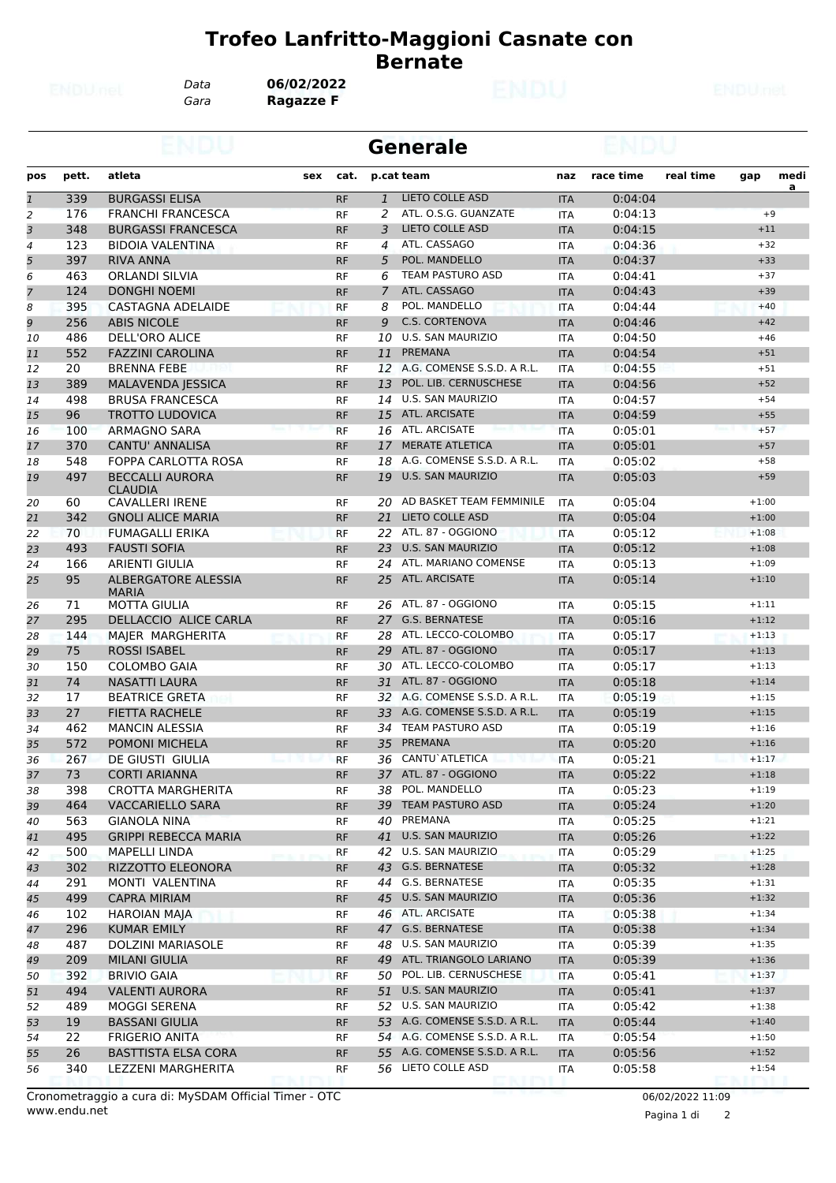*Gara* **Ragazze F** *Data* **06/02/2022**

|                |       |                                            |     |           |              | <b>Generale</b>               |            |           |           |         |                |
|----------------|-------|--------------------------------------------|-----|-----------|--------------|-------------------------------|------------|-----------|-----------|---------|----------------|
| pos            | pett. | atleta                                     | sex | cat.      |              | p.cat team                    | naz        | race time | real time | gap     | medi           |
| $\mathbf{1}$   | 339   | <b>BURGASSI ELISA</b>                      |     | <b>RF</b> | $\mathbf{1}$ | <b>LIETO COLLE ASD</b>        | <b>ITA</b> | 0:04:04   |           |         | $\overline{a}$ |
| 2              | 176   | <b>FRANCHI FRANCESCA</b>                   |     | <b>RF</b> | 2            | ATL. O.S.G. GUANZATE          | <b>ITA</b> | 0:04:13   |           |         | $+9$           |
| 3              | 348   | <b>BURGASSI FRANCESCA</b>                  |     | <b>RF</b> | 3            | <b>LIETO COLLE ASD</b>        | <b>ITA</b> | 0:04:15   |           | $+11$   |                |
| $\overline{4}$ | 123   | <b>BIDOIA VALENTINA</b>                    |     | <b>RF</b> | 4            | ATL. CASSAGO                  | <b>ITA</b> | 0:04:36   |           | $+32$   |                |
| 5              | 397   | <b>RIVA ANNA</b>                           |     | <b>RF</b> | 5            | POL. MANDELLO                 | <b>ITA</b> | 0:04:37   |           | $+33$   |                |
| 6              | 463   | <b>ORLANDI SILVIA</b>                      |     | RF        | 6            | TEAM PASTURO ASD              | ITA        | 0:04:41   |           | $+37$   |                |
| $\overline{7}$ | 124   | <b>DONGHI NOEMI</b>                        |     | <b>RF</b> | 7            | ATL. CASSAGO                  | <b>ITA</b> | 0:04:43   |           | $+39$   |                |
| 8              | 395   | CASTAGNA ADELAIDE                          |     | <b>RF</b> | 8            | POL. MANDELLO                 | <b>ITA</b> | 0:04:44   |           | $+40$   |                |
| 9              | 256   | <b>ABIS NICOLE</b>                         |     | <b>RF</b> | 9            | <b>C.S. CORTENOVA</b>         | <b>ITA</b> | 0:04:46   |           | $+42$   |                |
| 10             | 486   | DELL'ORO ALICE                             |     | <b>RF</b> | 10           | U.S. SAN MAURIZIO             | <b>ITA</b> | 0:04:50   |           | $+46$   |                |
| 11             | 552   | <b>FAZZINI CAROLINA</b>                    |     | <b>RF</b> | 11           | <b>PREMANA</b>                | <b>ITA</b> | 0:04:54   |           | $+51$   |                |
| 12             | 20    | BRENNA FEBE                                |     | RF        |              | 12 A.G. COMENSE S.S.D. A R.L. | <b>ITA</b> | 0:04:55   |           | $+51$   |                |
| 13             | 389   | <b>MALAVENDA JESSICA</b>                   |     | <b>RF</b> | 13           | POL. LIB. CERNUSCHESE         | <b>ITA</b> | 0:04:56   |           | $+52$   |                |
| 14             | 498   | <b>BRUSA FRANCESCA</b>                     |     | RF        | 14           | <b>U.S. SAN MAURIZIO</b>      | ITA        | 0:04:57   |           | $+54$   |                |
| 15             | 96    | <b>TROTTO LUDOVICA</b>                     |     | <b>RF</b> |              | 15 ATL. ARCISATE              | <b>ITA</b> | 0:04:59   |           | $+55$   |                |
| 16             | 100   | <b>ARMAGNO SARA</b>                        |     | <b>RF</b> |              | 16 ATL. ARCISATE              | <b>ITA</b> | 0:05:01   |           | $+57$   |                |
| 17             | 370   | <b>CANTU' ANNALISA</b>                     |     | <b>RF</b> | 17           | <b>MERATE ATLETICA</b>        | <b>ITA</b> | 0:05:01   |           | $+57$   |                |
| 18             | 548   | <b>FOPPA CARLOTTA ROSA</b>                 |     | <b>RF</b> | 18           | A.G. COMENSE S.S.D. A R.L.    | <b>ITA</b> | 0:05:02   |           | $+58$   |                |
| 19             | 497   | <b>BECCALLI AURORA</b><br><b>CLAUDIA</b>   |     | <b>RF</b> | 19           | <b>U.S. SAN MAURIZIO</b>      | <b>ITA</b> | 0:05:03   |           | $+59$   |                |
| 20             | 60    | <b>CAVALLERI IRENE</b>                     |     | <b>RF</b> |              | 20 AD BASKET TEAM FEMMINILE   | <b>ITA</b> | 0:05:04   |           | $+1:00$ |                |
| 21             | 342   | <b>GNOLI ALICE MARIA</b>                   |     | <b>RF</b> | 21           | <b>LIETO COLLE ASD</b>        | <b>ITA</b> | 0:05:04   |           | $+1:00$ |                |
| 22             | 70    | <b>FUMAGALLI ERIKA</b>                     |     | <b>RF</b> |              | 22 ATL. 87 - OGGIONO          | <b>ITA</b> | 0:05:12   |           | $+1:08$ |                |
| 23             | 493   | <b>FAUSTI SOFIA</b>                        |     | <b>RF</b> | 23           | <b>U.S. SAN MAURIZIO</b>      | <b>ITA</b> | 0:05:12   |           | $+1:08$ |                |
| 24             | 166   | <b>ARIENTI GIULIA</b>                      |     | <b>RF</b> | 24           | ATL. MARIANO COMENSE          | ITA        | 0:05:13   |           | $+1:09$ |                |
| 25             | 95    | <b>ALBERGATORE ALESSIA</b><br><b>MARIA</b> |     | <b>RF</b> | 25           | ATL. ARCISATE                 | <b>ITA</b> | 0:05:14   |           | $+1:10$ |                |
| 26             | 71    | <b>MOTTA GIULIA</b>                        |     | RF        |              | 26 ATL. 87 - OGGIONO          | <b>ITA</b> | 0:05:15   |           | $+1:11$ |                |
| 27             | 295   | DELLACCIO ALICE CARLA                      |     | <b>RF</b> | 27           | <b>G.S. BERNATESE</b>         | <b>ITA</b> | 0:05:16   |           | $+1:12$ |                |
| 28             | 144   | MAJER MARGHERITA                           |     | <b>RF</b> | 28           | ATL. LECCO-COLOMBO            | ITA        | 0:05:17   |           | $+1:13$ |                |
| 29             | 75    | <b>ROSSI ISABEL</b>                        |     | <b>RF</b> |              | 29 ATL. 87 - OGGIONO          | <b>ITA</b> | 0:05:17   |           | $+1:13$ |                |
| 30             | 150   | <b>COLOMBO GAIA</b>                        |     | <b>RF</b> | 30           | ATL. LECCO-COLOMBO            | <b>ITA</b> | 0:05:17   |           | $+1:13$ |                |
| 31             | 74    | <b>NASATTI LAURA</b>                       |     | <b>RF</b> | 31           | ATL. 87 - OGGIONO             | <b>ITA</b> | 0:05:18   |           | $+1:14$ |                |
| 32             | 17    | <b>BEATRICE GRETA</b>                      |     | RF        |              | 32 A.G. COMENSE S.S.D. A R.L. | <b>ITA</b> | 0:05:19   |           | $+1:15$ |                |
| 33             | 27    | <b>FIETTA RACHELE</b>                      |     | <b>RF</b> | 33           | A.G. COMENSE S.S.D. A R.L.    | <b>ITA</b> | 0:05:19   |           | $+1:15$ |                |
| 34             | 462   | <b>MANCIN ALESSIA</b>                      |     | RF        | 34           | <b>TEAM PASTURO ASD</b>       | ITA        | 0:05:19   |           | $+1:16$ |                |
| 35             | 572   | POMONI MICHELA                             |     | <b>RF</b> | 35           | PREMANA                       | <b>ITA</b> | 0:05:20   |           | $+1:16$ |                |
| 36             | 267   | <b>DE GIUSTI GIULIA</b>                    |     | <b>RF</b> |              | 36 CANTU' ATLETICA            | <b>ITA</b> | 0:05:21   |           | $+1:17$ |                |
| 37             | 73    | <b>CORTI ARIANNA</b>                       |     | <b>RF</b> |              | 37 ATL. 87 - OGGIONO          | <b>ITA</b> | 0:05:22   |           | $+1:18$ |                |
| 38             | 398   | CROTTA MARGHERITA                          |     | RF        |              | 38 POL. MANDELLO              | ITA        | 0:05:23   |           | $+1:19$ |                |
| 39             | 464   | <b>VACCARIELLO SARA</b>                    |     | <b>RF</b> |              | 39 TEAM PASTURO ASD           | <b>ITA</b> | 0:05:24   |           | $+1:20$ |                |
| 40             | 563   | GIANOLA NINA                               |     | RF        |              | 40 PREMANA                    | ITA        | 0:05:25   |           | $+1:21$ |                |
| 41             | 495   | <b>GRIPPI REBECCA MARIA</b>                |     | RF        |              | 41 U.S. SAN MAURIZIO          | <b>ITA</b> | 0:05:26   |           | $+1:22$ |                |
| 42             | 500   | MAPELLI LINDA                              |     | <b>RF</b> |              | 42 U.S. SAN MAURIZIO          | ITA        | 0:05:29   |           | $+1:25$ |                |
| 43             | 302   | RIZZOTTO ELEONORA                          |     | <b>RF</b> |              | 43 G.S. BERNATESE             | <b>ITA</b> | 0:05:32   |           | $+1:28$ |                |
| 44             | 291   | MONTI VALENTINA                            |     | RF        |              | 44 G.S. BERNATESE             | <b>ITA</b> | 0:05:35   |           | $+1:31$ |                |
| 45             | 499   | <b>CAPRA MIRIAM</b>                        |     | <b>RF</b> |              | 45 U.S. SAN MAURIZIO          | <b>ITA</b> | 0:05:36   |           | $+1:32$ |                |
| 46             | 102   | HAROIAN MAJA                               |     | RF        |              | 46 ATL. ARCISATE              | ITA        | 0:05:38   |           | $+1:34$ |                |
| 47             | 296   | <b>KUMAR EMILY</b>                         |     | <b>RF</b> |              | 47 G.S. BERNATESE             | <b>ITA</b> | 0:05:38   |           | $+1:34$ |                |
| 48             | 487   | <b>DOLZINI MARIASOLE</b>                   |     | <b>RF</b> |              | 48 U.S. SAN MAURIZIO          | ITA        | 0:05:39   |           | $+1:35$ |                |
| 49             | 209   | <b>MILANI GIULIA</b>                       |     | <b>RF</b> |              | 49 ATL. TRIANGOLO LARIANO     | <b>ITA</b> | 0:05:39   |           | $+1:36$ |                |
| 50             | 392   | <b>BRIVIO GAIA</b>                         |     | RF        |              | 50 POL. LIB. CERNUSCHESE      | <b>ITA</b> | 0:05:41   |           | $+1:37$ |                |
| 51             | 494   | <b>VALENTI AURORA</b>                      |     | <b>RF</b> | 51           | <b>U.S. SAN MAURIZIO</b>      | <b>ITA</b> | 0:05:41   |           | $+1:37$ |                |
| 52             | 489   | MOGGI SERENA                               |     | RF        |              | 52 U.S. SAN MAURIZIO          | ITA        | 0:05:42   |           | $+1:38$ |                |
| 53             | 19    | <b>BASSANI GIULIA</b>                      |     | <b>RF</b> |              | 53 A.G. COMENSE S.S.D. A R.L. | <b>ITA</b> | 0:05:44   |           | $+1:40$ |                |
| 54             | 22    | <b>FRIGERIO ANITA</b>                      |     | RF        |              | 54 A.G. COMENSE S.S.D. A R.L. | ITA        | 0:05:54   |           | $+1:50$ |                |
| 55             | 26    | <b>BASTTISTA ELSA CORA</b>                 |     | <b>RF</b> |              | 55 A.G. COMENSE S.S.D. A R.L. | <b>ITA</b> | 0:05:56   |           | $+1:52$ |                |
| 56             | 340   | LEZZENI MARGHERITA                         |     | RF        |              | 56 LIETO COLLE ASD            | ITA        | 0:05:58   |           | $+1:54$ |                |
|                |       |                                            |     |           |              |                               |            |           |           |         |                |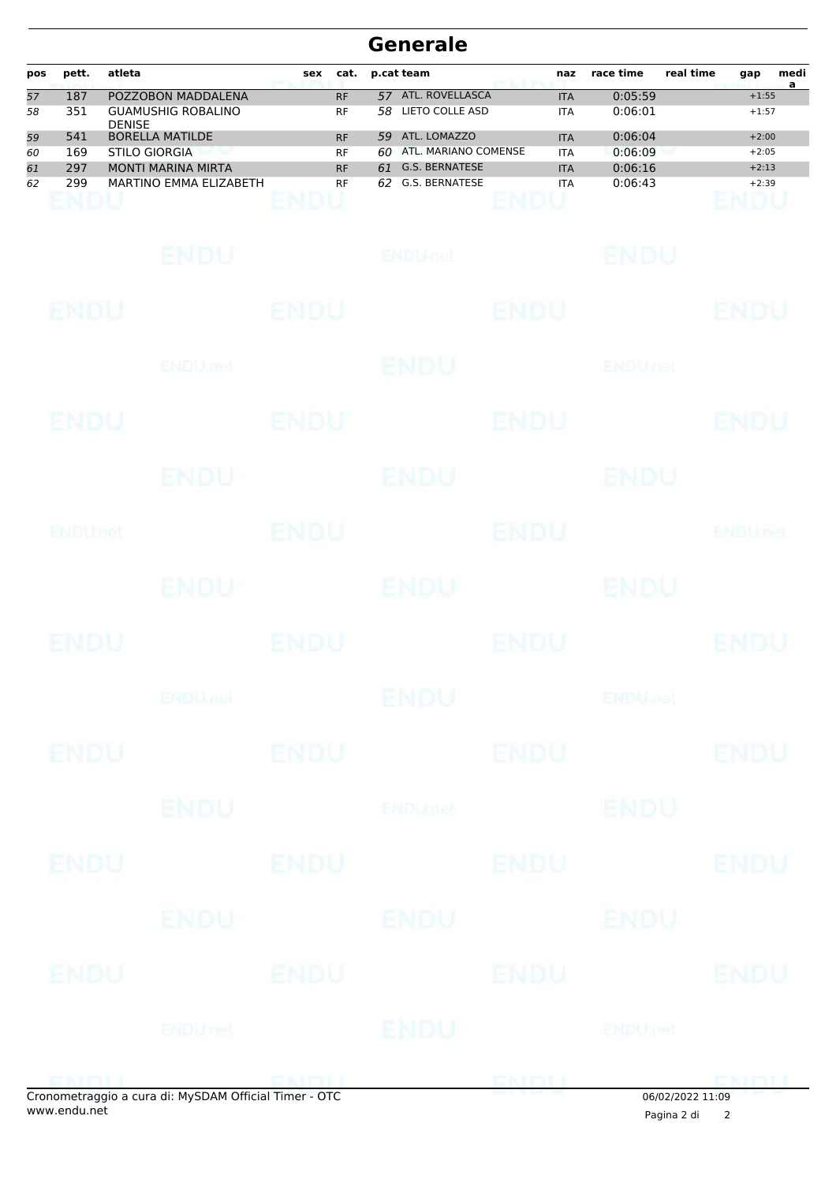| pos | pett. | atleta                                     | sex | cat.      | p.cat team |                       | naz        | race time | real time | gap     | medi<br>a |
|-----|-------|--------------------------------------------|-----|-----------|------------|-----------------------|------------|-----------|-----------|---------|-----------|
| 57  | 187   | POZZOBON MADDALENA                         |     | <b>RF</b> | 57         | ATL. ROVELLASCA       | <b>ITA</b> | 0:05:59   |           | $+1:55$ |           |
| 58  | 351   | <b>GUAMUSHIG ROBALINO</b><br><b>DENISE</b> |     | <b>RF</b> | 58         | LIETO COLLE ASD       | <b>ITA</b> | 0:06:01   |           | $+1:57$ |           |
| 59  | 541   | <b>BORELLA MATILDE</b>                     |     | <b>RF</b> | 59         | ATL. LOMAZZO          | <b>ITA</b> | 0:06:04   |           | $+2:00$ |           |
| 60  | 169   | STILO GIORGIA                              |     | <b>RF</b> | 60         | ATL. MARIANO COMENSE  | <b>ITA</b> | 0:06:09   |           | $+2:05$ |           |
| 61  | 297   | <b>MONTI MARINA MIRTA</b>                  |     | <b>RF</b> | 61         | <b>G.S. BERNATESE</b> | <b>ITA</b> | 0:06:16   |           | $+2:13$ |           |
| 62  | 299   | MARTINO EMMA ELIZABETH                     |     | <b>RF</b> | 62         | G.S. BERNATESE        | <b>ITA</b> | 0:06:43   |           | $+2:39$ |           |

|             |                 |             | onometraggio a cura di: MySDAM Official Timer - OTC |             | 06/02/2022 11:09          |                |
|-------------|-----------------|-------------|-----------------------------------------------------|-------------|---------------------------|----------------|
|             |                 |             |                                                     | ENDU        |                           | <b>CMALL</b>   |
|             | <b>ENDU</b> nel |             | <b>ENDU</b>                                         |             | ENDUmet                   |                |
| ENDU        |                 | ENDU        |                                                     | <b>ENDU</b> |                           | <b>ENDU</b>    |
|             | ENDU-           |             | ENDU                                                |             | ENDU                      |                |
| <b>ENDU</b> |                 | <b>ENDU</b> |                                                     | <b>ENDU</b> |                           | <b>ENDU</b>    |
|             | <b>ENDU</b>     |             | <b>ENDU<sub>net</sub></b>                           |             | <b>ENDU</b>               |                |
| <b>ENDU</b> |                 | <b>ENDU</b> |                                                     | <b>ENDU</b> |                           | <b>ENDU</b>    |
|             | <b>ENDUMEN</b>  |             | ENDU                                                |             | <b>ENDU<sub>DED</sub></b> |                |
| <b>ENDU</b> |                 | <b>ENDU</b> |                                                     | <b>ENDU</b> |                           | <b>ENDU</b>    |
|             | ENDU.           |             | ENDU                                                |             | ENDU                      |                |
| ENDUNCT     |                 | <b>ENDU</b> |                                                     | <b>ENDU</b> |                           | <b>ENDUnet</b> |
|             | ENDU            |             | <b>ENDU</b>                                         |             | ENDU                      |                |
| ENDU        |                 | ENDU        |                                                     | <b>ENDU</b> |                           | <b>ENDU</b>    |
|             | ENDU.net        |             | <b>ENDU</b>                                         |             | <b>ENDUnet</b>            |                |
| <b>ENDU</b> |                 | <b>ENDU</b> |                                                     | <b>ENDU</b> |                           | <b>ENDU</b>    |
|             | ENDU            |             | <b>ENDULIEL</b>                                     |             | ENDU                      |                |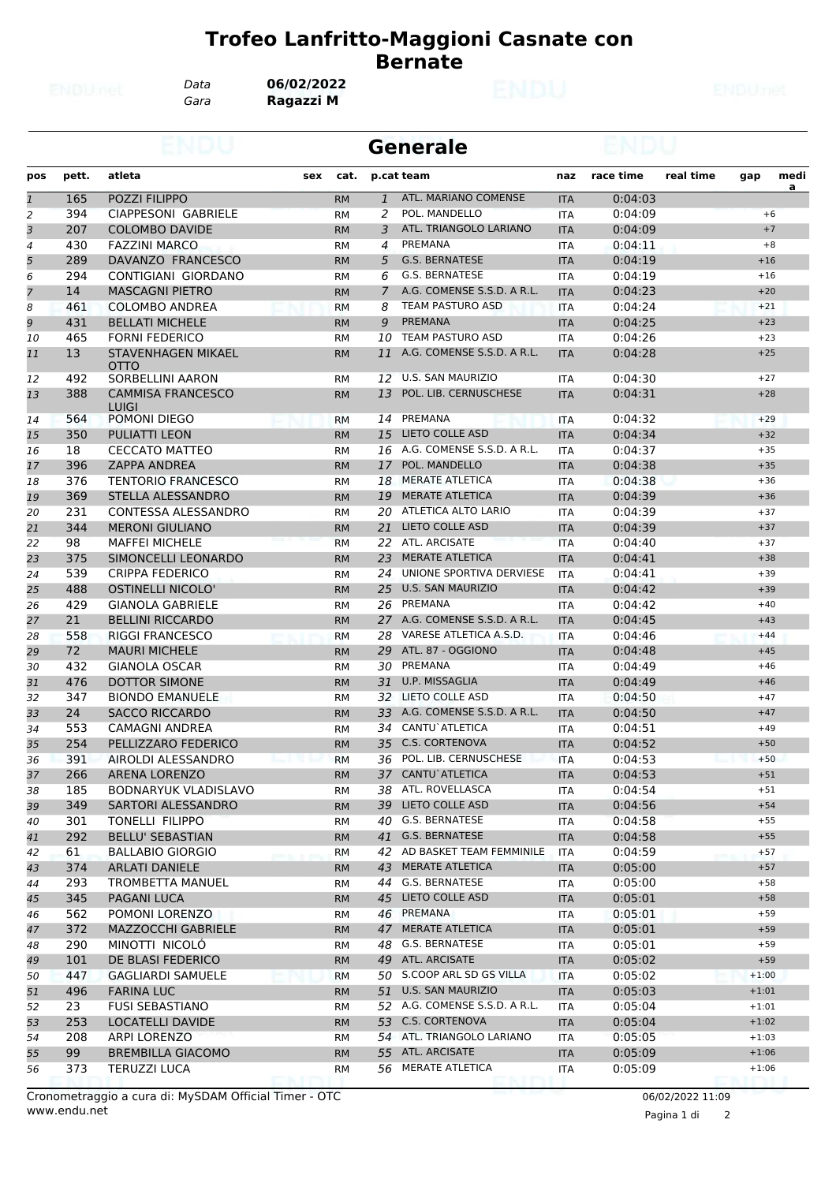*Gara* **Ragazzi M** *Data* **06/02/2022**

|                |            |                                                     |     |                        |                | <b>Generale</b>                                |                   |                    |           |                |          |
|----------------|------------|-----------------------------------------------------|-----|------------------------|----------------|------------------------------------------------|-------------------|--------------------|-----------|----------------|----------|
| pos            | pett.      | atleta                                              | sex | cat.                   |                | p.cat team                                     | naz               | race time          | real time | gap            | medi     |
| $\mathbf{1}$   | 165        | POZZI FILIPPO                                       |     | <b>RM</b>              | $\mathbf{1}$   | ATL. MARIANO COMENSE                           | <b>ITA</b>        | 0:04:03            |           |                | <u>a</u> |
| $\overline{c}$ | 394        | CIAPPESONI GABRIELE                                 |     | <b>RM</b>              | 2              | POL. MANDELLO                                  | <b>ITA</b>        | 0:04:09            |           | $+6$           |          |
| 3              | 207        | <b>COLOMBO DAVIDE</b>                               |     | <b>RM</b>              | 3              | ATL. TRIANGOLO LARIANO                         | <b>ITA</b>        | 0:04:09            |           | $+7$           |          |
| 4              | 430        | <b>FAZZINI MARCO</b>                                |     | <b>RM</b>              | 4              | PREMANA                                        | <b>ITA</b>        | 0:04:11            |           | $+8$           |          |
| 5              | 289        | DAVANZO FRANCESCO                                   |     | <b>RM</b>              | 5              | <b>G.S. BERNATESE</b>                          | <b>ITA</b>        | 0:04:19            |           | $+16$          |          |
| 6              | 294        | CONTIGIANI GIORDANO                                 |     | <b>RM</b>              | 6              | <b>G.S. BERNATESE</b>                          | <b>ITA</b>        | 0:04:19            |           | $+16$          |          |
| $\overline{7}$ | 14         | <b>MASCAGNI PIETRO</b>                              |     | <b>RM</b>              | $\overline{7}$ | A.G. COMENSE S.S.D. A R.L.                     | <b>ITA</b>        | 0:04:23            |           | $+20$          |          |
| 8              | 461        | <b>COLOMBO ANDREA</b>                               |     | <b>RM</b>              | 8              | TEAM PASTURO ASD                               | <b>ITA</b>        | 0:04:24            |           | $+21$          |          |
| 9              | 431        | <b>BELLATI MICHELE</b>                              |     | <b>RM</b>              | 9              | <b>PREMANA</b>                                 | <b>ITA</b>        | 0:04:25            |           | $+23$          |          |
| 10             | 465        | <b>FORNI FEDERICO</b>                               |     | <b>RM</b>              | 10             | <b>TEAM PASTURO ASD</b>                        | <b>ITA</b>        | 0:04:26            |           | $+23$          |          |
| 11             | 13         | STAVENHAGEN MIKAEL<br><b>OTTO</b>                   |     | <b>RM</b>              | 11             | A.G. COMENSE S.S.D. A R.L.                     | <b>ITA</b>        | 0:04:28            |           | $+25$          |          |
| 12             | 492        | <b>SORBELLINI AARON</b>                             |     | <b>RM</b>              | 12             | U.S. SAN MAURIZIO                              | <b>ITA</b>        | 0:04:30            |           | $+27$          |          |
| 13             | 388        | <b>CAMMISA FRANCESCO</b><br>LUIGI                   |     | <b>RM</b>              | 13             | POL. LIB. CERNUSCHESE                          | <b>ITA</b>        | 0:04:31            |           | $+28$          |          |
| 14             | 564        | POMONI DIEGO                                        |     | RM                     | 14             | PREMANA                                        | <b>ITA</b>        | 0:04:32            |           | $+29$          |          |
| 15             | 350        | <b>PULIATTI LEON</b>                                |     | <b>RM</b>              | 15             | <b>LIETO COLLE ASD</b>                         | <b>ITA</b>        | 0:04:34            |           | $+32$          |          |
| 16             | 18         | <b>CECCATO MATTEO</b>                               |     | <b>RM</b>              | 16             | A.G. COMENSE S.S.D. A R.L.                     | <b>ITA</b>        | 0:04:37            |           | $+35$          |          |
| 17             | 396        | <b>ZAPPA ANDREA</b>                                 |     | <b>RM</b>              | 17             | POL. MANDELLO                                  | <b>ITA</b>        | 0:04:38            |           | $+35$          |          |
| 18             | 376        | <b>TENTORIO FRANCESCO</b>                           |     | <b>RM</b>              | 18             | <b>MERATE ATLETICA</b>                         | <b>ITA</b>        | 0:04:38            |           | $+36$          |          |
| 19             | 369        | STELLA ALESSANDRO                                   |     | <b>RM</b>              | 19             | <b>MERATE ATLETICA</b>                         | <b>ITA</b>        | 0:04:39            |           | $+36$          |          |
| 20             | 231        | <b>CONTESSA ALESSANDRO</b>                          |     | <b>RM</b>              | 20             | ATLETICA ALTO LARIO                            | <b>ITA</b>        | 0:04:39            |           | $+37$          |          |
| 21             | 344        | <b>MERONI GIULIANO</b>                              |     | <b>RM</b>              | 21             | <b>LIETO COLLE ASD</b>                         | <b>ITA</b>        | 0:04:39            |           | $+37$          |          |
| 22             | 98         | <b>MAFFEI MICHELE</b>                               |     | <b>RM</b>              | 22             | ATL. ARCISATE                                  | <b>ITA</b>        | 0:04:40            |           | $+37$          |          |
| 23             | 375        | SIMONCELLI LEONARDO                                 |     | <b>RM</b>              | 23             | <b>MERATE ATLETICA</b>                         | <b>ITA</b>        | 0:04:41            |           | $+38$          |          |
| 24             | 539        | <b>CRIPPA FEDERICO</b>                              |     | <b>RM</b>              | 24             | UNIONE SPORTIVA DERVIESE                       | <b>ITA</b>        | 0:04:41            |           | $+39$          |          |
| 25             | 488        | OSTINELLI NICOLO'                                   |     | <b>RM</b>              | 25             | <b>U.S. SAN MAURIZIO</b>                       | <b>ITA</b>        | 0:04:42            |           | $+39$          |          |
| 26             | 429        | <b>GIANOLA GABRIELE</b>                             |     | <b>RM</b>              | 26             | PREMANA                                        | <b>ITA</b>        | 0:04:42            |           | $+40$          |          |
| 27             | 21         | <b>BELLINI RICCARDO</b>                             |     | <b>RM</b>              | 27             | A.G. COMENSE S.S.D. A R.L.                     | <b>ITA</b>        | 0:04:45            |           | $+43$          |          |
| 28             | 558        | <b>RIGGI FRANCESCO</b>                              |     | <b>RM</b>              | 28             | VARESE ATLETICA A.S.D.                         | <b>ITA</b>        | 0:04:46            |           | $+44$          |          |
| 29             | 72         | <b>MAURI MICHELE</b>                                |     | <b>RM</b>              | 29             | ATL. 87 - OGGIONO                              | <b>ITA</b>        | 0:04:48            |           | $+45$          |          |
| 30             | 432        | <b>GIANOLA OSCAR</b>                                |     | <b>RM</b>              | 30             | PREMANA                                        | <b>ITA</b>        | 0:04:49            |           | $+46$          |          |
| 31             | 476        | DOTTOR SIMONE                                       |     | <b>RM</b>              | 31             | U.P. MISSAGLIA                                 | <b>ITA</b>        | 0:04:49            |           | $+46$          |          |
| 32             | 347        | <b>BIONDO EMANUELE</b>                              |     | RM                     | 32             | LIETO COLLE ASD                                | <b>ITA</b>        | 0:04:50            |           | $+47$          |          |
| 33             | 24         | <b>SACCO RICCARDO</b>                               |     | <b>RM</b>              | 33             | A.G. COMENSE S.S.D. A R.L.                     | <b>ITA</b>        | 0:04:50            |           | $+47$          |          |
| 34             | 553        | <b>CAMAGNI ANDREA</b>                               |     | <b>RM</b>              | 34             | CANTU`ATLETICA                                 | <b>ITA</b>        | 0:04:51            |           | $+49$          |          |
| 35             | 254        | PELLIZZARO FEDERICO                                 |     | <b>RM</b>              | 35             | <b>C.S. CORTENOVA</b><br>POL. LIB. CERNUSCHESE | <b>ITA</b>        | 0:04:52            |           | $+50$<br>$+50$ |          |
| 36             | 391        | AIROLDI ALESSANDRO                                  |     | <b>RM</b>              | 36             |                                                | <b>ITA</b>        | 0:04:53            |           |                |          |
| 37             | 266<br>185 | <b>ARENA LORENZO</b><br><b>BODNARYUK VLADISLAVO</b> |     | <b>RM</b>              |                | 37 CANTU ATLETICA<br>38 ATL. ROVELLASCA        | <b>ITA</b>        | 0:04:53<br>0:04:54 |           | $+51$<br>$+51$ |          |
| 38<br>39       | 349        | SARTORI ALESSANDRO                                  |     | RM                     |                | 39 LIETO COLLE ASD                             | ITA               | 0:04:56            |           | $+54$          |          |
| 40             | 301        | <b>TONELLI FILIPPO</b>                              |     | <b>RM</b><br>RM        | 40             | G.S. BERNATESE                                 | <b>ITA</b><br>ITA | 0:04:58            |           | $+55$          |          |
| 41             | 292        | <b>BELLU' SEBASTIAN</b>                             |     |                        | 41             | G.S. BERNATESE                                 |                   |                    |           | $+55$          |          |
|                | 61         | <b>BALLABIO GIORGIO</b>                             |     | <b>RM</b>              |                | 42 AD BASKET TEAM FEMMINILE                    | <b>ITA</b><br>ITA | 0:04:58<br>0:04:59 |           | $+57$          |          |
| 42<br>43       | 374        | <b>ARLATI DANIELE</b>                               |     | <b>RM</b><br><b>RM</b> | 43             | MERATE ATLETICA                                | <b>ITA</b>        | 0:05:00            |           | $+57$          |          |
| 44             | 293        | TROMBETTA MANUEL                                    |     |                        | 44             | G.S. BERNATESE                                 |                   | 0:05:00            |           | $+58$          |          |
| 45             | 345        | PAGANI LUCA                                         |     | RM<br><b>RM</b>        |                | 45 LIETO COLLE ASD                             | ITA<br><b>ITA</b> | 0:05:01            |           | $+58$          |          |
| 46             | 562        | POMONI LORENZO                                      |     | RM                     |                | 46 PREMANA                                     | ITA               | 0:05:01            |           | $+59$          |          |
| 47             | 372        | MAZZOCCHI GABRIELE                                  |     | <b>RM</b>              | 47             | <b>MERATE ATLETICA</b>                         | <b>ITA</b>        | 0:05:01            |           | $+59$          |          |
| 48             | 290        | MINOTTI NICOLO                                      |     | RM                     | 48             | G.S. BERNATESE                                 | ITA               | 0:05:01            |           | $+59$          |          |
| 49             | 101        | DE BLASI FEDERICO                                   |     | <b>RM</b>              | 49             | ATL. ARCISATE                                  | <b>ITA</b>        | 0:05:02            |           | $+59$          |          |
| 50             | 447        | <b>GAGLIARDI SAMUELE</b>                            |     | RM                     |                | 50 S.COOP ARL SD GS VILLA                      | <b>ITA</b>        | 0:05:02            |           | $+1:00$        |          |
| 51             | 496        | <b>FARINA LUC</b>                                   |     | <b>RM</b>              |                | 51 U.S. SAN MAURIZIO                           | <b>ITA</b>        | 0:05:03            |           | $+1:01$        |          |
| 52             | 23         | <b>FUSI SEBASTIANO</b>                              |     | <b>RM</b>              |                | 52 A.G. COMENSE S.S.D. A R.L.                  | ITA               | 0:05:04            |           | $+1:01$        |          |
| 53             | 253        | LOCATELLI DAVIDE                                    |     | <b>RM</b>              | 53             | <b>C.S. CORTENOVA</b>                          | <b>ITA</b>        | 0:05:04            |           | $+1:02$        |          |
| 54             | 208        | <b>ARPI LORENZO</b>                                 |     | <b>RM</b>              |                | 54 ATL. TRIANGOLO LARIANO                      | ITA               | 0:05:05            |           | $+1:03$        |          |
| 55             | 99         | <b>BREMBILLA GIACOMO</b>                            |     | <b>RM</b>              | 55             | ATL. ARCISATE                                  | <b>ITA</b>        | 0:05:09            |           | $+1:06$        |          |
| 56             | 373        | TERUZZI LUCA                                        |     | RМ                     | 56             | MERATE ATLETICA                                | ITA               | 0:05:09            |           | $+1:06$        |          |
|                |            |                                                     |     |                        |                |                                                |                   |                    |           |                |          |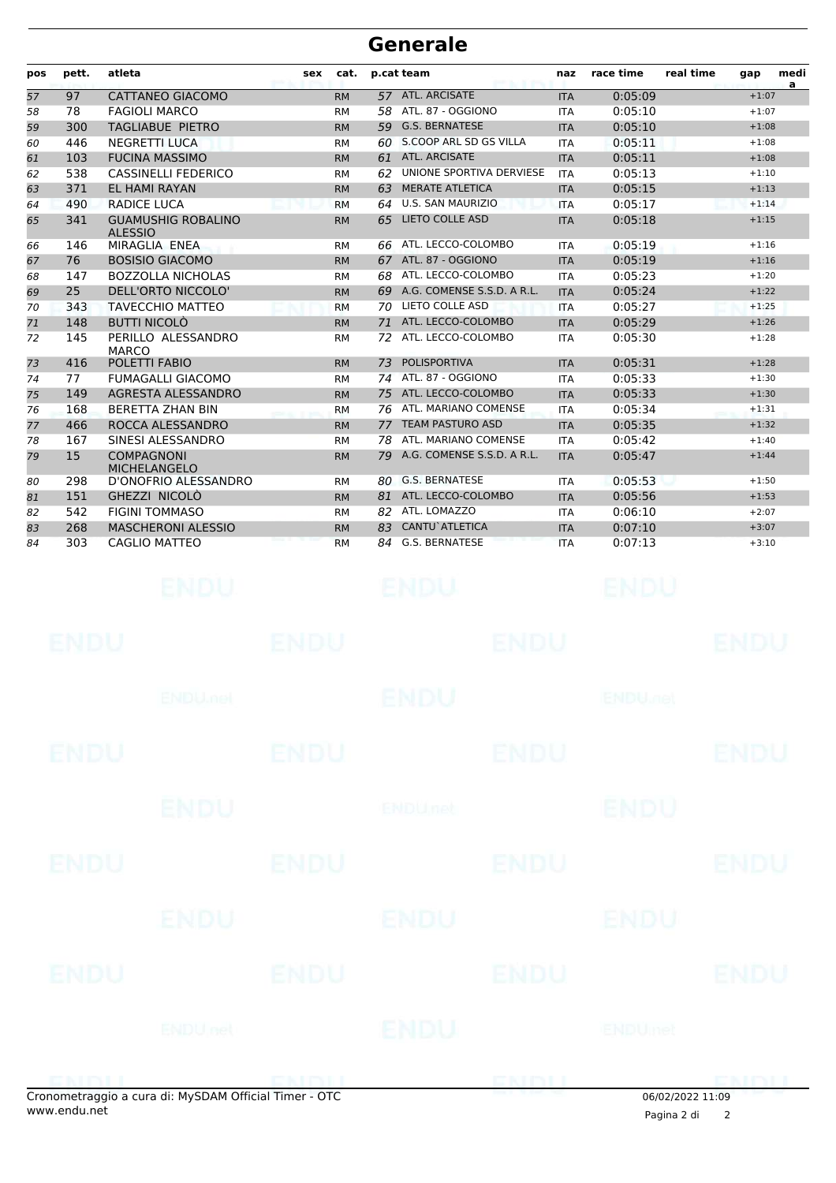| pos | pett.       | atleta                                                            | sex         | cat.      |    | p.cat team                 | naz        | race time                 | real time      | gap         | medi<br>a |
|-----|-------------|-------------------------------------------------------------------|-------------|-----------|----|----------------------------|------------|---------------------------|----------------|-------------|-----------|
| 57  | 97          | <b>CATTANEO GIACOMO</b>                                           |             | <b>RM</b> |    | 57 ATL. ARCISATE           | <b>ITA</b> | 0:05:09                   |                | $+1:07$     |           |
| 58  | 78          | <b>FAGIOLI MARCO</b>                                              |             | <b>RM</b> | 58 | ATL. 87 - OGGIONO          | <b>ITA</b> | 0:05:10                   |                | $+1:07$     |           |
| 59  | 300         | TAGLIABUE PIETRO                                                  |             | <b>RM</b> | 59 | <b>G.S. BERNATESE</b>      | <b>ITA</b> | 0:05:10                   |                | $+1:08$     |           |
| 60  | 446         | <b>NEGRETTI LUCA</b>                                              |             | <b>RM</b> |    | 60 S.COOP ARL SD GS VILLA  | <b>ITA</b> | 0:05:11                   |                | $+1:08$     |           |
| 61  | 103         | <b>FUCINA MASSIMO</b>                                             |             | <b>RM</b> |    | 61 ATL. ARCISATE           | <b>ITA</b> | 0:05:11                   |                | $+1:08$     |           |
| 62  | 538         | <b>CASSINELLI FEDERICO</b>                                        |             | <b>RM</b> | 62 | UNIONE SPORTIVA DERVIESE   | <b>ITA</b> | 0:05:13                   |                | $+1:10$     |           |
| 63  | 371         | EL HAMI RAYAN                                                     |             | <b>RM</b> | 63 | <b>MERATE ATLETICA</b>     | <b>ITA</b> | 0:05:15                   |                | $+1:13$     |           |
| 64  | 490         | <b>RADICE LUCA</b>                                                |             | <b>RM</b> |    | 64 U.S. SAN MAURIZIO       | <b>ITA</b> | 0:05:17                   |                | $+1:14$     |           |
| 65  | 341         | <b>GUAMUSHIG ROBALINO</b><br><b>ALESSIO</b>                       |             | <b>RM</b> | 65 | <b>LIETO COLLE ASD</b>     | <b>ITA</b> | 0:05:18                   |                | $+1:15$     |           |
| 66  | 146         | MIRAGLIA ENEA                                                     |             | <b>RM</b> | 66 | ATL. LECCO-COLOMBO         | <b>ITA</b> | 0:05:19                   |                | $+1:16$     |           |
| 67  | 76          | <b>BOSISIO GIACOMO</b>                                            |             | <b>RM</b> |    | 67 ATL. 87 - OGGIONO       | <b>ITA</b> | 0:05:19                   |                | $+1:16$     |           |
| 68  | 147         | <b>BOZZOLLA NICHOLAS</b>                                          |             | <b>RM</b> | 68 | ATL. LECCO-COLOMBO         | <b>ITA</b> | 0:05:23                   |                | $+1:20$     |           |
| 69  | 25          | DELL'ORTO NICCOLO'                                                |             | <b>RM</b> | 69 | A.G. COMENSE S.S.D. A R.L. | <b>ITA</b> | 0:05:24                   |                | $+1:22$     |           |
| 70  | 343         | <b>TAVECCHIO MATTEO</b>                                           |             | <b>RM</b> | 70 | LIETO COLLE ASD            | <b>ITA</b> | 0:05:27                   |                | $+1:25$     |           |
| 71  | 148         | <b>BUTTI NICOLÒ</b>                                               |             | <b>RM</b> | 71 | ATL. LECCO-COLOMBO         | <b>ITA</b> | 0:05:29                   |                | $+1:26$     |           |
| 72  | 145         | PERILLO ALESSANDRO<br><b>MARCO</b>                                |             | <b>RM</b> | 72 | ATL. LECCO-COLOMBO         | <b>ITA</b> | 0:05:30                   |                | $+1:28$     |           |
| 73  | 416         | POLETTI FABIO                                                     |             | <b>RM</b> | 73 | <b>POLISPORTIVA</b>        | <b>ITA</b> | 0:05:31                   |                | $+1:28$     |           |
| 74  | 77          | <b>FUMAGALLI GIACOMO</b>                                          |             | <b>RM</b> |    | 74 ATL. 87 - OGGIONO       | <b>ITA</b> | 0:05:33                   |                | $+1:30$     |           |
| 75  | 149         | AGRESTA ALESSANDRO                                                |             | <b>RM</b> |    | 75 ATL. LECCO-COLOMBO      | <b>ITA</b> | 0:05:33                   |                | $+1:30$     |           |
| 76  | 168         | <b>BERETTA ZHAN BIN</b>                                           |             | <b>RM</b> | 76 | ATL. MARIANO COMENSE       | <b>ITA</b> | 0:05:34                   |                | $+1:31$     |           |
| 77  | 466         | ROCCA ALESSANDRO                                                  |             | <b>RM</b> | 77 | <b>TEAM PASTURO ASD</b>    | <b>ITA</b> | 0:05:35                   |                | $+1:32$     |           |
| 78  | 167         | SINESI ALESSANDRO                                                 |             | <b>RM</b> | 78 | ATL. MARIANO COMENSE       | <b>ITA</b> | 0:05:42                   |                | $+1:40$     |           |
| 79  | 15          | <b>COMPAGNONI</b>                                                 |             | <b>RM</b> | 79 | A.G. COMENSE S.S.D. A R.L. | <b>ITA</b> | 0:05:47                   |                | $+1:44$     |           |
| 80  | 298         | <b>MICHELANGELO</b><br>D'ONOFRIO ALESSANDRO                       |             | <b>RM</b> |    | 80 G.S. BERNATESE          | <b>ITA</b> | 0:05:53                   |                | $+1:50$     |           |
| 81  | 151         | GHEZZI NICOLO                                                     |             | <b>RM</b> |    | 81 ATL. LECCO-COLOMBO      | <b>ITA</b> | 0:05:56                   |                | $+1:53$     |           |
| 82  | 542         | <b>FIGINI TOMMASO</b>                                             |             | <b>RM</b> |    | 82 ATL. LOMAZZO            | <b>ITA</b> | 0:06:10                   |                | $+2:07$     |           |
| 83  | 268         | <b>MASCHERONI ALESSIO</b>                                         |             | <b>RM</b> | 83 | CANTU`ATLETICA             | <b>ITA</b> | 0:07:10                   |                | $+3:07$     |           |
| 84  | 303         | CAGLIO MATTEO                                                     |             | <b>RM</b> | 84 | G.S. BERNATESE             | <b>ITA</b> | 0:07:13                   |                | $+3:10$     |           |
|     |             | ENDU                                                              |             |           |    |                            |            |                           |                |             |           |
|     | ENDU        |                                                                   | ENDU        |           |    | ENDU                       |            |                           |                | ENDL        |           |
|     |             | <b>ENDU<sub>met</sub></b>                                         |             |           |    | <b>ENDU</b>                |            | <b>ENDU<sub>DER</sub></b> |                |             |           |
|     | <b>ENDU</b> |                                                                   | <b>ENDU</b> |           |    | <b>ENDU</b>                |            |                           |                | <b>ENDU</b> |           |
|     |             | <b>ENDU</b>                                                       |             |           |    | <b>ENDUnet</b>             |            | <b>ENDU</b>               |                |             |           |
|     | <b>ENDU</b> |                                                                   | <b>ENDU</b> |           |    | <b>ENDU</b>                |            |                           |                | <b>ENDU</b> |           |
|     |             | ENDU                                                              |             |           |    | ENDU                       |            | ENDU                      |                |             |           |
|     | <b>ENDU</b> |                                                                   | <b>ENDU</b> |           |    | <b>ENDU</b>                |            |                           |                | <b>ENDU</b> |           |
|     |             | <b>ENDU<sub>net</sub></b>                                         |             |           |    | ENDU                       |            | <b>ENDUmet</b>            |                |             |           |
|     |             | ENDITION CHARGES<br>traggio a cura di: MuCDAM Official Timor. OTC |             |           |    | ENDLL                      |            |                           | 0.610212022333 | ENDU        |           |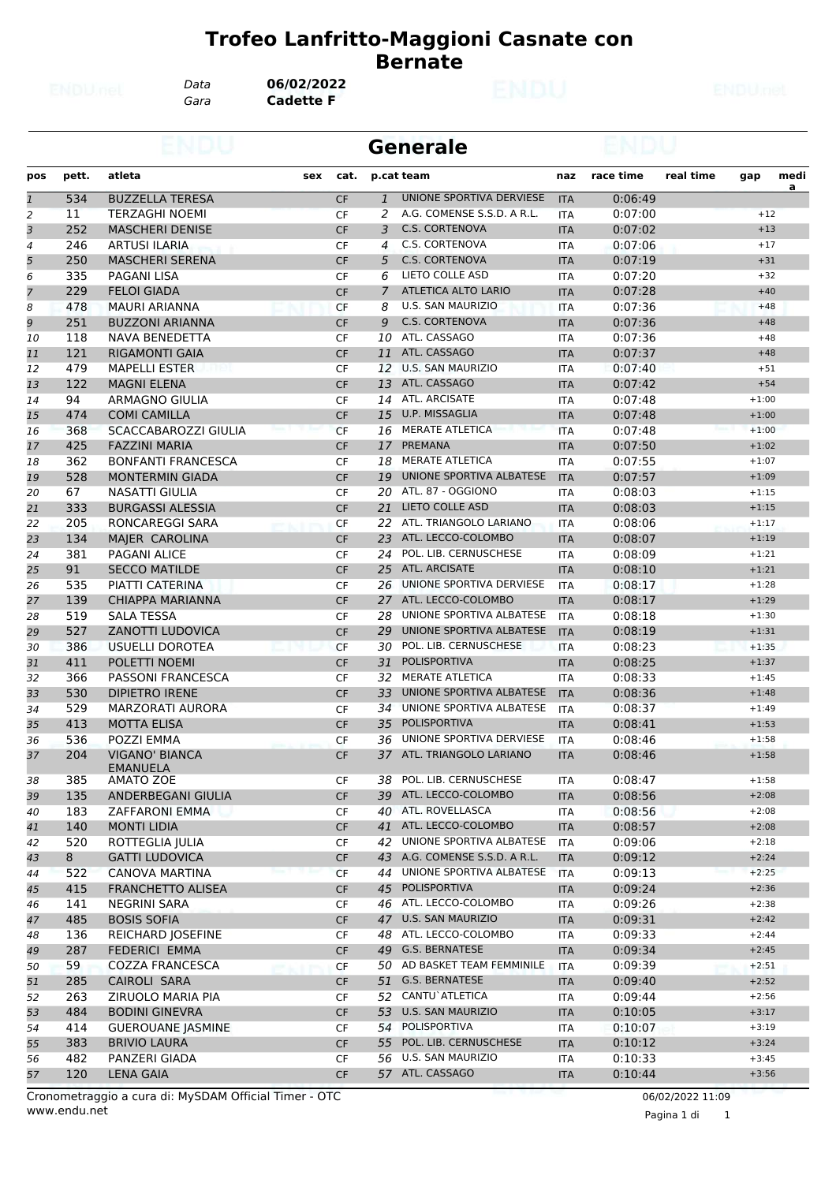*Data* **06/02/2022**

*Gara* **Cadette F**

|                |       |                                     |     |           |              | <b>Generale</b>                            |            |           |           |                    |      |
|----------------|-------|-------------------------------------|-----|-----------|--------------|--------------------------------------------|------------|-----------|-----------|--------------------|------|
| pos            | pett. | atleta                              | sex | cat.      |              | p.cat team                                 | naz        | race time | real time | gap                | medi |
| $\overline{1}$ | 534   | <b>BUZZELLA TERESA</b>              |     | <b>CF</b> | $\mathbf{1}$ | UNIONE SPORTIVA DERVIESE                   | <b>ITA</b> | 0:06:49   |           |                    | a    |
| 2              | 11    | <b>TERZAGHI NOEMI</b>               |     | <b>CF</b> | 2            | A.G. COMENSE S.S.D. A R.L.                 | <b>ITA</b> | 0:07:00   |           | $+12$              |      |
| 3              | 252   | <b>MASCHERI DENISE</b>              |     | <b>CF</b> | 3            | <b>C.S. CORTENOVA</b>                      | <b>ITA</b> | 0:07:02   |           | $+13$              |      |
| 4              | 246   | ARTUSI ILARIA                       |     | CF        | 4            | C.S. CORTENOVA                             | <b>ITA</b> | 0:07:06   |           | $+17$              |      |
| 5              | 250   | <b>MASCHERI SERENA</b>              |     | <b>CF</b> | 5            | <b>C.S. CORTENOVA</b>                      | <b>ITA</b> | 0:07:19   |           | $+31$              |      |
| 6              | 335   | PAGANI LISA                         |     | CF        | 6            | LIETO COLLE ASD                            | ITA        | 0:07:20   |           | $+32$              |      |
| 7              | 229   | <b>FELOI GIADA</b>                  |     | <b>CF</b> | 7            | ATLETICA ALTO LARIO                        | <b>ITA</b> | 0:07:28   |           | $+40$              |      |
| 8              | 478   | MAURI ARIANNA                       |     | CF        | 8            | <b>U.S. SAN MAURIZIO</b>                   | <b>ITA</b> | 0:07:36   |           | $+48$              |      |
| 9              | 251   | <b>BUZZONI ARIANNA</b>              |     | <b>CF</b> | 9            | <b>C.S. CORTENOVA</b>                      | <b>ITA</b> | 0:07:36   |           | $+48$              |      |
| 10             | 118   | <b>NAVA BENEDETTA</b>               |     | <b>CF</b> |              | 10 ATL. CASSAGO                            | <b>ITA</b> | 0:07:36   |           | $+48$              |      |
| 11             | 121   | <b>RIGAMONTI GAIA</b>               |     | <b>CF</b> | 11           | ATL. CASSAGO                               | <b>ITA</b> | 0:07:37   |           | $+48$              |      |
| 12             | 479   | <b>MAPELLI ESTER</b>                |     | CF        |              | 12 U.S. SAN MAURIZIO                       | <b>ITA</b> | 0:07:40   |           | $+51$              |      |
| 13             | 122   | <b>MAGNI ELENA</b>                  |     | <b>CF</b> |              | 13 ATL. CASSAGO                            | <b>ITA</b> | 0:07:42   |           | $+54$              |      |
| 14             | 94    | <b>ARMAGNO GIULIA</b>               |     | CF        |              | 14 ATL. ARCISATE                           | <b>ITA</b> | 0:07:48   |           | $+1:00$            |      |
| 15             | 474   | <b>COMI CAMILLA</b>                 |     | <b>CF</b> | 15           | U.P. MISSAGLIA                             | <b>ITA</b> | 0:07:48   |           | $+1:00$            |      |
| 16             | 368   | SCACCABAROZZI GIULIA                |     | <b>CF</b> |              | 16 MERATE ATLETICA                         | <b>ITA</b> | 0:07:48   |           | $+1:00$            |      |
| 17             | 425   | <b>FAZZINI MARIA</b>                |     | <b>CF</b> | 17           | PREMANA                                    | <b>ITA</b> | 0:07:50   |           | $+1:02$            |      |
| 18             | 362   | <b>BONFANTI FRANCESCA</b>           |     | CF        |              | 18 MERATE ATLETICA                         | ITA        | 0:07:55   |           | $+1:07$            |      |
| 19             | 528   | <b>MONTERMIN GIADA</b>              |     | <b>CF</b> | 19           | UNIONE SPORTIVA ALBATESE                   | <b>ITA</b> | 0:07:57   |           | $+1:09$            |      |
| 20             | 67    | NASATTI GIULIA                      |     | CF        |              | 20 ATL. 87 - OGGIONO                       | <b>ITA</b> | 0:08:03   |           | $+1:15$            |      |
| 21             | 333   | <b>BURGASSI ALESSIA</b>             |     | <b>CF</b> | 21           | <b>LIETO COLLE ASD</b>                     | <b>ITA</b> | 0:08:03   |           | $+1:15$            |      |
| 22             | 205   | RONCAREGGI SARA                     |     | <b>CF</b> |              | 22 ATL. TRIANGOLO LARIANO                  | <b>ITA</b> | 0:08:06   |           | $+1:17$            |      |
| 23             | 134   | MAJER CAROLINA                      |     | <b>CF</b> |              | 23 ATL. LECCO-COLOMBO                      | <b>ITA</b> | 0:08:07   |           | $+1:19$            |      |
| 24             | 381   | <b>PAGANI ALICE</b>                 |     | CF        |              | 24 POL. LIB. CERNUSCHESE                   | ITA        | 0:08:09   |           | $+1:21$            |      |
| 25             | 91    | <b>SECCO MATILDE</b>                |     | <b>CF</b> |              | 25 ATL. ARCISATE                           | <b>ITA</b> | 0:08:10   |           | $+1:21$            |      |
| 26             | 535   | PIATTI CATERINA                     |     | CF        |              | 26 UNIONE SPORTIVA DERVIESE                | ITA        | 0:08:17   |           | $+1:28$            |      |
| 27             | 139   | CHIAPPA MARIANNA                    |     | <b>CF</b> |              | 27 ATL. LECCO-COLOMBO                      | <b>ITA</b> | 0:08:17   |           | $+1:29$            |      |
| 28             | 519   | <b>SALA TESSA</b>                   |     | CF        | 28           | UNIONE SPORTIVA ALBATESE                   | <b>ITA</b> | 0:08:18   |           | $+1:30$            |      |
| 29             | 527   | <b>ZANOTTI LUDOVICA</b>             |     | <b>CF</b> | 29           | UNIONE SPORTIVA ALBATESE                   | <b>ITA</b> | 0:08:19   |           | $+1:31$            |      |
| 30             | 386   | USUELLI DOROTEA                     |     | <b>CF</b> |              | 30 POL. LIB. CERNUSCHESE                   | <b>ITA</b> | 0:08:23   |           | $+1:35$            |      |
| 31             | 411   | POLETTI NOEMI                       |     | <b>CF</b> | 31           | <b>POLISPORTIVA</b>                        | <b>ITA</b> | 0:08:25   |           | $+1:37$            |      |
| 32             | 366   | PASSONI FRANCESCA                   |     | CF        |              | 32 MERATE ATLETICA                         | ITA        | 0:08:33   |           | $+1:45$            |      |
| 33             | 530   | <b>DIPIETRO IRENE</b>               |     | <b>CF</b> | 33           | UNIONE SPORTIVA ALBATESE                   | <b>ITA</b> | 0:08:36   |           | $+1:48$            |      |
| 34             | 529   | <b>MARZORATI AURORA</b>             |     | CF        | 34           | UNIONE SPORTIVA ALBATESE                   | <b>ITA</b> | 0:08:37   |           | $+1:49$            |      |
| 35             | 413   | <b>MOTTA ELISA</b>                  |     | <b>CF</b> | 35           | POLISPORTIVA                               | <b>ITA</b> | 0:08:41   |           | $+1:53$            |      |
| 36             | 536   | POZZI EMMA                          |     | CF        |              | 36 UNIONE SPORTIVA DERVIESE                | ITA        | 0:08:46   |           | $+1:58$            |      |
| 37             | 204   | <b>VIGANO' BIANCA</b>               |     | <b>CF</b> |              | 37 ATL. TRIANGOLO LARIANO                  | <b>ITA</b> | 0:08:46   |           | $+1:58$            |      |
|                | 385   | <b>EMANUELA</b><br><b>AMATO ZOE</b> |     | CF        |              | 38 POL. LIB. CERNUSCHESE                   |            | 0:08:47   |           | $+1:58$            |      |
| 38<br>39       | 135   | ANDERBEGANI GIULIA                  |     | <b>CF</b> |              | 39 ATL. LECCO-COLOMBO                      | ITA        | 0:08:56   |           |                    |      |
| 40             | 183   |                                     |     |           |              | 40 ATL. ROVELLASCA                         | <b>ITA</b> | 0:08:56   |           | $+2:08$<br>$+2:08$ |      |
|                |       | ZAFFARONI EMMA                      |     | CF        |              | 41 ATL. LECCO-COLOMBO                      | ITA        |           |           | $+2:08$            |      |
| 41             | 140   | <b>MONTI LIDIA</b>                  |     | CF        |              | 42 UNIONE SPORTIVA ALBATESE                | <b>ITA</b> | 0:08:57   |           |                    |      |
| 42             | 520   | ROTTEGLIA JULIA                     |     | CF        |              | 43 A.G. COMENSE S.S.D. A R.L.              | ITA        | 0:09:06   |           | $+2:18$            |      |
| 43             | 8     | <b>GATTI LUDOVICA</b>               |     | <b>CF</b> |              | 44 UNIONE SPORTIVA ALBATESE                | <b>ITA</b> | 0:09:12   |           | $+2:24$            |      |
| 44             | 522   | <b>CANOVA MARTINA</b>               |     | <b>CF</b> |              | POLISPORTIVA                               | <b>ITA</b> | 0:09:13   |           | $+2:25$            |      |
| 45             | 415   | <b>FRANCHETTO ALISEA</b>            |     | CF        | 45           | 46 ATL. LECCO-COLOMBO                      | <b>ITA</b> | 0:09:24   |           | $+2:36$            |      |
| 46             | 141   | NEGRINI SARA                        |     | CF        |              |                                            | ITA        | 0:09:26   |           | $+2:38$            |      |
| 47             | 485   | <b>BOSIS SOFIA</b>                  |     | CF        |              | 47 U.S. SAN MAURIZIO                       | <b>ITA</b> | 0:09:31   |           | $+2:42$            |      |
| 48             | 136   | <b>REICHARD JOSEFINE</b>            |     | CF        |              | 48 ATL. LECCO-COLOMBO<br>49 G.S. BERNATESE | ITA        | 0:09:33   |           | $+2:44$            |      |
| 49             | 287   | <b>FEDERICI EMMA</b>                |     | CF        |              |                                            | <b>ITA</b> | 0:09:34   |           | $+2:45$            |      |
| 50             | 59    | <b>COZZA FRANCESCA</b>              |     | <b>CF</b> |              | 50 AD BASKET TEAM FEMMINILE                | ITA        | 0:09:39   |           | $+2:51$            |      |
| 51             | 285   | CAIROLI SARA                        |     | CF        |              | 51 G.S. BERNATESE                          | <b>ITA</b> | 0:09:40   |           | $+2:52$            |      |
| 52             | 263   | ZIRUOLO MARIA PIA                   |     | CF        |              | 52 CANTU`ATLETICA                          | ITA        | 0:09:44   |           | $+2:56$            |      |
| 53             | 484   | <b>BODINI GINEVRA</b>               |     | CF        | 53           | <b>U.S. SAN MAURIZIO</b>                   | <b>ITA</b> | 0:10:05   |           | $+3:17$            |      |
| 54             | 414   | <b>GUEROUANE JASMINE</b>            |     | CF        |              | 54 POLISPORTIVA                            | ITA        | 0:10:07   |           | $+3:19$            |      |
| 55             | 383   | <b>BRIVIO LAURA</b>                 |     | <b>CF</b> |              | 55 POL. LIB. CERNUSCHESE                   | <b>ITA</b> | 0:10:12   |           | $+3:24$            |      |
| 56             | 482   | PANZERI GIADA                       |     | CF        |              | 56 U.S. SAN MAURIZIO                       | ITA        | 0:10:33   |           | $+3:45$            |      |
| 57             | 120   | <b>LENA GAIA</b>                    |     | <b>CF</b> |              | 57 ATL. CASSAGO                            | <b>ITA</b> | 0:10:44   |           | $+3:56$            |      |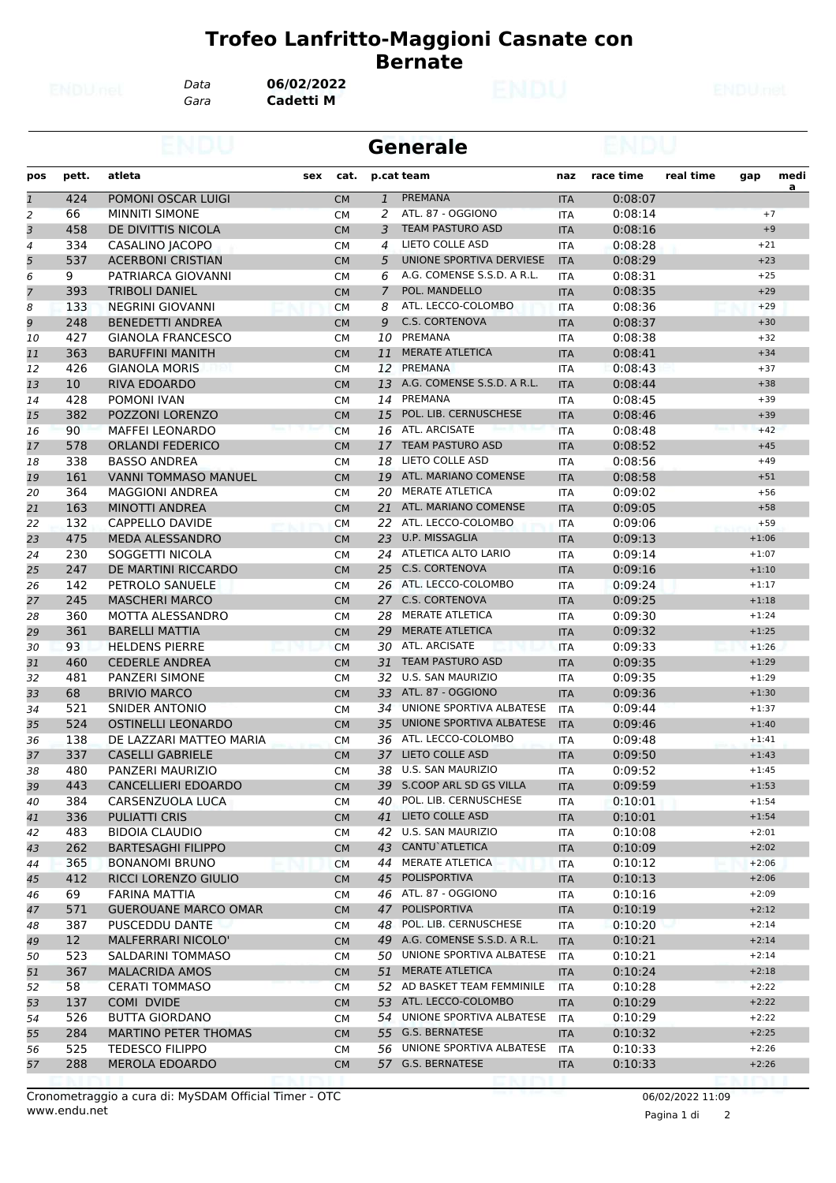*Gara* **Cadetti M** *Data* **06/02/2022**

|              |                 |                             |     |           |                | <b>Generale</b>               |                   |           |           |         |      |
|--------------|-----------------|-----------------------------|-----|-----------|----------------|-------------------------------|-------------------|-----------|-----------|---------|------|
| pos          | pett.           | atleta                      | sex | cat.      |                | p.cat team                    | naz               | race time | real time | gap     | medi |
| $\mathbf{1}$ | 424             | POMONI OSCAR LUIGI          |     | <b>CM</b> | $\mathbf{1}$   | PREMANA                       | <b>ITA</b>        | 0:08:07   |           |         | a    |
| 2            | 66              | <b>MINNITI SIMONE</b>       |     | <b>CM</b> | 2              | ATL. 87 - OGGIONO             | <b>ITA</b>        | 0:08:14   |           | $+7$    |      |
| 3            | 458             | DE DIVITTIS NICOLA          |     | <b>CM</b> | 3              | <b>TEAM PASTURO ASD</b>       | <b>ITA</b>        | 0:08:16   |           | $+9$    |      |
| 4            | 334             | CASALINO JACOPO             |     | <b>CM</b> | 4              | LIETO COLLE ASD               | <b>ITA</b>        | 0:08:28   |           | $+21$   |      |
| 5            | 537             | <b>ACERBONI CRISTIAN</b>    |     | <b>CM</b> | 5              | UNIONE SPORTIVA DERVIESE      | <b>ITA</b>        | 0:08:29   |           | $+23$   |      |
| 6            | 9               | PATRIARCA GIOVANNI          |     | <b>CM</b> | 6              | A.G. COMENSE S.S.D. A R.L.    | ITA               | 0:08:31   |           | $+25$   |      |
| 7            | 393             | <b>TRIBOLI DANIEL</b>       |     | <b>CM</b> | $\overline{7}$ | POL. MANDELLO                 | <b>ITA</b>        | 0:08:35   |           | $+29$   |      |
| 8            | 133             | NEGRINI GIOVANNI            |     | <b>CM</b> | 8              | ATL. LECCO-COLOMBO            | <b>ITA</b>        | 0:08:36   |           | $+29$   |      |
| 9            | 248             | <b>BENEDETTI ANDREA</b>     |     | <b>CM</b> | 9              | <b>C.S. CORTENOVA</b>         | <b>ITA</b>        | 0:08:37   |           | $+30$   |      |
| 10           | 427             | <b>GIANOLA FRANCESCO</b>    |     | <b>CM</b> |                | 10 PREMANA                    | <b>ITA</b>        | 0:08:38   |           | $+32$   |      |
| 11           | 363             | <b>BARUFFINI MANITH</b>     |     | <b>CM</b> | 11             | <b>MERATE ATLETICA</b>        | <b>ITA</b>        | 0:08:41   |           | $+34$   |      |
| 12           | 426             | <b>GIANOLA MORIS</b>        |     | <b>CM</b> | 12             | PREMANA                       | ITA               | 0:08:43   |           | $+37$   |      |
| 13           | 10 <sup>°</sup> | RIVA EDOARDO                |     | <b>CM</b> | 13             | A.G. COMENSE S.S.D. A R.L.    | <b>ITA</b>        | 0:08:44   |           | $+38$   |      |
| 14           | 428             | <b>POMONI IVAN</b>          |     | <b>CM</b> | 14             | PREMANA                       | <b>ITA</b>        | 0:08:45   |           | $+39$   |      |
| 15           | 382             | POZZONI LORENZO             |     | <b>CM</b> | 15             | POL. LIB. CERNUSCHESE         | <b>ITA</b>        | 0:08:46   |           | $+39$   |      |
| 16           | 90              | <b>MAFFEI LEONARDO</b>      |     | <b>CM</b> |                | 16 ATL. ARCISATE              | <b>ITA</b>        | 0:08:48   |           | $+42$   |      |
| 17           | 578             | <b>ORLANDI FEDERICO</b>     |     | <b>CM</b> | 17             | <b>TEAM PASTURO ASD</b>       | <b>ITA</b>        | 0:08:52   |           | $+45$   |      |
| 18           | 338             | <b>BASSO ANDREA</b>         |     | <b>CM</b> | 18             | <b>LIETO COLLE ASD</b>        | ITA               | 0:08:56   |           | $+49$   |      |
| 19           | 161             | <b>VANNI TOMMASO MANUEL</b> |     | <b>CM</b> |                | 19 ATL. MARIANO COMENSE       | <b>ITA</b>        | 0:08:58   |           | $+51$   |      |
| 20           | 364             | <b>MAGGIONI ANDREA</b>      |     | <b>CM</b> | 20             | MERATE ATLETICA               | <b>ITA</b>        | 0:09:02   |           | $+56$   |      |
| 21           | 163             | <b>MINOTTI ANDREA</b>       |     | <b>CM</b> | 21             | ATL. MARIANO COMENSE          | <b>ITA</b>        | 0:09:05   |           | $+58$   |      |
| 22           | 132             | CAPPELLO DAVIDE             |     | <b>CM</b> |                | 22 ATL. LECCO-COLOMBO         | <b>ITA</b>        | 0:09:06   |           | $+59$   |      |
| 23           | 475             | <b>MEDA ALESSANDRO</b>      |     | <b>CM</b> |                | 23 U.P. MISSAGLIA             | <b>ITA</b>        | 0:09:13   |           | $+1:06$ |      |
| 24           | 230             | SOGGETTI NICOLA             |     | <b>CM</b> |                | 24 ATLETICA ALTO LARIO        | ITA               | 0:09:14   |           | $+1:07$ |      |
| 25           | 247             | DE MARTINI RICCARDO         |     | <b>CM</b> |                | 25 C.S. CORTENOVA             | <b>ITA</b>        | 0:09:16   |           | $+1:10$ |      |
| 26           | 142             | PETROLO SANUELE             |     | <b>CM</b> |                | 26 ATL. LECCO-COLOMBO         | <b>ITA</b>        | 0:09:24   |           | $+1:17$ |      |
| 27           | 245             | <b>MASCHERI MARCO</b>       |     | <b>CM</b> |                | 27 C.S. CORTENOVA             | <b>ITA</b>        | 0:09:25   |           | $+1:18$ |      |
| 28           | 360             | MOTTA ALESSANDRO            |     | <b>CM</b> |                | 28 MERATE ATLETICA            | ITA               | 0:09:30   |           | $+1:24$ |      |
| 29           | 361             | <b>BARELLI MATTIA</b>       |     | <b>CM</b> | 29             | <b>MERATE ATLETICA</b>        | <b>ITA</b>        | 0:09:32   |           | $+1:25$ |      |
| 30           | 93              | <b>HELDENS PIERRE</b>       |     | <b>CM</b> |                | 30 ATL. ARCISATE              | <b>ITA</b>        | 0:09:33   |           | $+1:26$ |      |
| 31           | 460             | <b>CEDERLE ANDREA</b>       |     | <b>CM</b> | 31             | <b>TEAM PASTURO ASD</b>       | <b>ITA</b>        | 0:09:35   |           | $+1:29$ |      |
| 32           | 481             | <b>PANZERI SIMONE</b>       |     | <b>CM</b> | 32             | U.S. SAN MAURIZIO             | <b>ITA</b>        | 0:09:35   |           | $+1:29$ |      |
| 33           | 68              | <b>BRIVIO MARCO</b>         |     | <b>CM</b> |                | 33 ATL. 87 - OGGIONO          | <b>ITA</b>        | 0:09:36   |           | $+1:30$ |      |
| 34           | 521             | SNIDER ANTONIO              |     | <b>CM</b> |                | 34 UNIONE SPORTIVA ALBATESE   | <b>ITA</b>        | 0:09:44   |           | $+1:37$ |      |
| 35           | 524             | <b>OSTINELLI LEONARDO</b>   |     | <b>CM</b> | 35             | UNIONE SPORTIVA ALBATESE      | <b>ITA</b>        | 0:09:46   |           | $+1:40$ |      |
| 36           | 138             | DE LAZZARI MATTEO MARIA     |     | <b>CM</b> |                | 36 ATL, LECCO-COLOMBO         | <b>ITA</b>        | 0:09:48   |           | $+1:41$ |      |
| 37           | 337             | <b>CASELLI GABRIELE</b>     |     | <b>CM</b> |                | 37 LIETO COLLE ASD            | <b>ITA</b>        | 0:09:50   |           | $+1:43$ |      |
| 38           | 480             | PANZERI MAURIZIO            |     | <b>CM</b> |                | 38 U.S. SAN MAURIZIO          | <b>ITA</b>        | 0:09:52   |           | $+1:45$ |      |
| 39           | 443             | <b>CANCELLIERI EDOARDO</b>  |     | <b>CM</b> |                | 39 S.COOP ARL SD GS VILLA     | <b>ITA</b>        | 0:09:59   |           | $+1:53$ |      |
| 40           | 384             | CARSENZUOLA LUCA            |     | <b>CM</b> |                | 40 POL. LIB. CERNUSCHESE      |                   | 0:10:01   |           | $+1:54$ |      |
| 41           | 336             | <b>PULIATTI CRIS</b>        |     | <b>CM</b> |                | 41 LIETO COLLE ASD            | ITA<br><b>ITA</b> | 0:10:01   |           | $+1:54$ |      |
|              | 483             | <b>BIDOIA CLAUDIO</b>       |     |           |                | 42 U.S. SAN MAURIZIO          |                   | 0:10:08   |           | $+2:01$ |      |
| 42           | 262             | <b>BARTESAGHI FILIPPO</b>   |     | <b>CM</b> |                | 43 CANTU ATLETICA             | ITA               |           |           |         |      |
| 43           |                 | <b>BONANOMI BRUNO</b>       |     | <b>CM</b> |                |                               | <b>ITA</b>        | 0:10:09   |           | $+2:02$ |      |
| 44           | 365             |                             |     | <b>CM</b> |                | 44 MERATE ATLETICA            | <b>ITA</b>        | 0:10:12   |           | $+2:06$ |      |
| 45           | 412             | RICCI LORENZO GIULIO        |     | <b>CM</b> |                | 45 POLISPORTIVA               | <b>ITA</b>        | 0:10:13   |           | $+2:06$ |      |
| 46           | 69              | <b>FARINA MATTIA</b>        |     | <b>CM</b> |                | 46 ATL. 87 - OGGIONO          | ITA               | 0:10:16   |           | $+2:09$ |      |
| 47           | 571             | <b>GUEROUANE MARCO OMAR</b> |     | <b>CM</b> |                | 47 POLISPORTIVA               | <b>ITA</b>        | 0:10:19   |           | $+2:12$ |      |
| 48           | 387             | PUSCEDDU DANTE              |     | <b>CM</b> |                | 48 POL. LIB. CERNUSCHESE      | ITA               | 0:10:20   |           | $+2:14$ |      |
| 49           | 12 <sup>2</sup> | <b>MALFERRARI NICOLO'</b>   |     | <b>CM</b> |                | 49 A.G. COMENSE S.S.D. A R.L. | <b>ITA</b>        | 0:10:21   |           | $+2:14$ |      |
| 50           | 523             | SALDARINI TOMMASO           |     | <b>CM</b> |                | 50 UNIONE SPORTIVA ALBATESE   | ITA               | 0:10:21   |           | $+2:14$ |      |
| 51           | 367             | <b>MALACRIDA AMOS</b>       |     | <b>CM</b> |                | 51 MERATE ATLETICA            | <b>ITA</b>        | 0:10:24   |           | $+2:18$ |      |
| 52           | 58              | <b>CERATI TOMMASO</b>       |     | <b>CM</b> |                | 52 AD BASKET TEAM FEMMINILE   | <b>ITA</b>        | 0:10:28   |           | $+2:22$ |      |
| 53           | 137             | COMI DVIDE                  |     | <b>CM</b> |                | 53 ATL. LECCO-COLOMBO         | <b>ITA</b>        | 0:10:29   |           | $+2:22$ |      |
| 54           | 526             | <b>BUTTA GIORDANO</b>       |     | <b>CM</b> |                | 54 UNIONE SPORTIVA ALBATESE   | ITA               | 0:10:29   |           | $+2:22$ |      |
| 55           | 284             | <b>MARTINO PETER THOMAS</b> |     | <b>CM</b> |                | 55 G.S. BERNATESE             | <b>ITA</b>        | 0:10:32   |           | $+2:25$ |      |
| 56           | 525             | <b>TEDESCO FILIPPO</b>      |     | <b>CM</b> |                | 56 UNIONE SPORTIVA ALBATESE   | ITA               | 0:10:33   |           | $+2:26$ |      |
| 57           | 288             | <b>MEROLA EDOARDO</b>       |     | <b>CM</b> |                | 57 G.S. BERNATESE             | <b>ITA</b>        | 0:10:33   |           | $+2:26$ |      |
|              |                 |                             |     |           |                |                               |                   |           |           |         |      |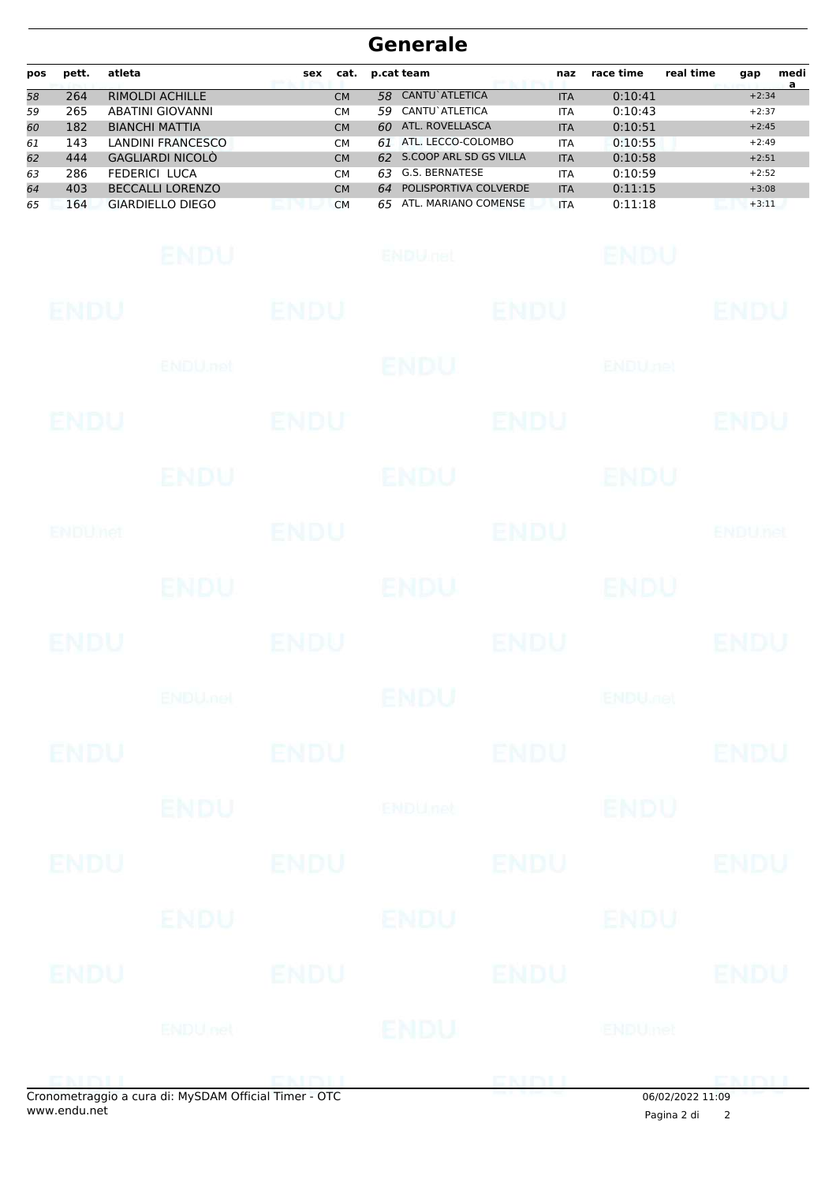| pos | pett. | atleta                  | sex | cat.      |     | p.cat team             | naz        | race time | real time | gap     | medi<br>a |
|-----|-------|-------------------------|-----|-----------|-----|------------------------|------------|-----------|-----------|---------|-----------|
| 58  | 264   | <b>RIMOLDI ACHILLE</b>  |     | <b>CM</b> | 58. | <b>CANTU</b> ATLETICA  | <b>ITA</b> | 0:10:41   |           | $+2:34$ |           |
| 59  | 265   | <b>ABATINI GIOVANNI</b> |     | <b>CM</b> | 59. | CANTU`ATLETICA         | <b>ITA</b> | 0:10:43   |           | $+2:37$ |           |
| 60  | 182   | <b>BIANCHI MATTIA</b>   |     | <b>CM</b> | 60. | ATL. ROVELLASCA        | <b>ITA</b> | 0:10:51   |           | $+2:45$ |           |
| 61  | 143   | LANDINI FRANCESCO       |     | <b>CM</b> | 61  | ATL. LECCO-COLOMBO     | <b>ITA</b> | 0:10:55   |           | $+2:49$ |           |
| 62  | 444   | GAGLIARDI NICOLÒ        |     | <b>CM</b> | 62  | S.COOP ARL SD GS VILLA | <b>ITA</b> | 0:10:58   |           | $+2:51$ |           |
| 63  | 286   | FEDERICI LUCA           |     | <b>CM</b> | 63. | G.S. BERNATESE         | <b>ITA</b> | 0:10:59   |           | $+2:52$ |           |
| 64  | 403   | <b>BECCALLI LORENZO</b> |     | <b>CM</b> | 64  | POLISPORTIVA COLVERDE  | <b>ITA</b> | 0:11:15   |           | $+3:08$ |           |
| 65  | 164   | <b>GIARDIELLO DIEGO</b> |     | <b>CM</b> | 65  | ATL. MARIANO COMENSE   | <b>ITA</b> | 0:11:18   |           | $+3:11$ |           |

|                | onometraggio a cura di: MySDAM Official Timer - OTC |             |                 |             |                           |                |
|----------------|-----------------------------------------------------|-------------|-----------------|-------------|---------------------------|----------------|
|                |                                                     |             |                 |             |                           | <b>ENDU</b>    |
|                | ENDU nel                                            |             | <b>ENDU</b>     |             | <b>ENDUmet</b>            |                |
| ENDU           | <b>ENDU</b>                                         |             |                 | ENDU        |                           | <b>ENDU</b>    |
|                | ENDU                                                |             | ENDU            |             | ENDU                      |                |
| <b>ENDU</b>    |                                                     | <b>ENDU</b> |                 | <b>ENDU</b> |                           | <b>ENDU</b>    |
|                | <b>ENDU</b>                                         |             | <b>ENDUnet</b>  |             | <b>ENDU</b>               |                |
| <b>ENDU</b>    |                                                     | <b>ENDU</b> |                 | <b>ENDU</b> |                           | <b>ENDU</b>    |
|                | <b>ENDUMBL</b>                                      |             | ENDU            |             | <b>ENDU<sub>JOE</sub></b> |                |
| <b>ENDU</b>    |                                                     | <b>ENDU</b> |                 | <b>ENDU</b> |                           | <b>ENDU</b>    |
|                | <b>ENDU</b>                                         |             | <b>ENDU</b>     |             | <b>ENDU</b>               |                |
| <b>ENDUMet</b> |                                                     | <b>ENDU</b> |                 | <b>ENDU</b> |                           | <b>ENDUnet</b> |
|                | ENDU                                                |             | <b>ENDU</b>     |             | <b>ENDU</b>               |                |
| ENDU           |                                                     | <b>ENDU</b> |                 | <b>ENDU</b> |                           | ENDU           |
|                | <b>ENDU</b> .nel                                    |             | <b>ENDU</b>     |             | <b>ENDUnet</b>            |                |
| <b>ENDU</b>    |                                                     | <b>ENDU</b> |                 | <b>ENDU</b> |                           | <b>ENDU</b>    |
|                | ENDU                                                |             | <b>ENDULIEL</b> |             | <b>ENDU</b>               |                |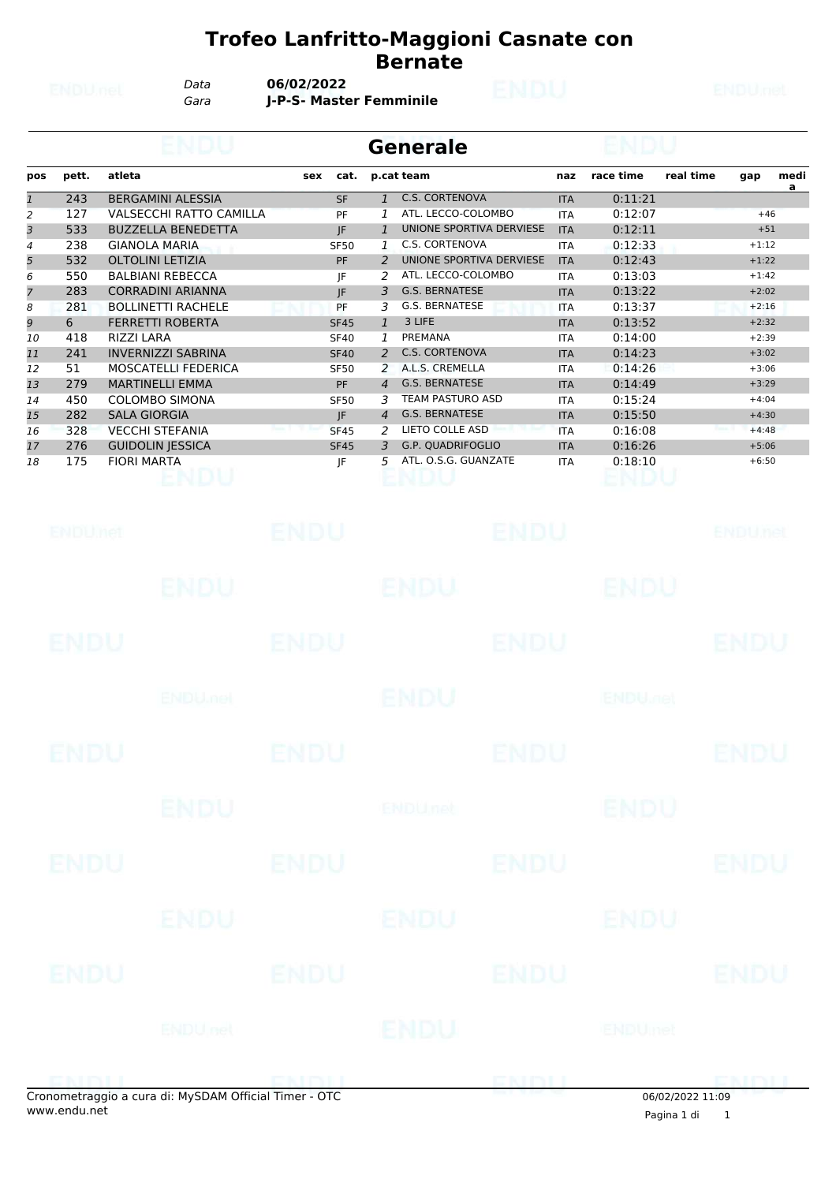*Data* **06/02/2022**

*Gara* **J-P-S- Master Femminile**

|                |       |                                |     |             |               | <b>Generale</b>          |            |                        |  |         |           |
|----------------|-------|--------------------------------|-----|-------------|---------------|--------------------------|------------|------------------------|--|---------|-----------|
| pos            | pett. | atleta                         | sex | cat.        |               | p.cat team               | naz        | race time<br>real time |  | gap     | medi<br>a |
| 1              | 243   | <b>BERGAMINI ALESSIA</b>       |     | <b>SF</b>   | $\mathbf{1}$  | <b>C.S. CORTENOVA</b>    | <b>ITA</b> | 0:11:21                |  |         |           |
| 2              | 127   | <b>VALSECCHI RATTO CAMILLA</b> |     | PF          |               | ATL. LECCO-COLOMBO       | <b>ITA</b> | 0:12:07                |  | $+46$   |           |
| 3              | 533   | <b>BUZZELLA BENEDETTA</b>      |     | JF.         | $\mathbf{1}$  | UNIONE SPORTIVA DERVIESE | <b>ITA</b> | 0:12:11                |  | $+51$   |           |
| 4              | 238   | <b>GIANOLA MARIA</b>           |     | <b>SF50</b> | 1             | C.S. CORTENOVA           | <b>ITA</b> | 0:12:33                |  | $+1:12$ |           |
| 5              | 532   | <b>OLTOLINI LETIZIA</b>        |     | <b>PF</b>   | $\mathcal{P}$ | UNIONE SPORTIVA DERVIESE | <b>ITA</b> | 0:12:43                |  | $+1:22$ |           |
| 6              | 550   | <b>BALBIANI REBECCA</b>        |     | ΙF          |               | ATL. LECCO-COLOMBO       | <b>ITA</b> | 0:13:03                |  | $+1:42$ |           |
| $\overline{7}$ | 283   | <b>CORRADINI ARIANNA</b>       |     | JF.         | 3             | <b>G.S. BERNATESE</b>    | <b>ITA</b> | 0:13:22                |  | $+2:02$ |           |
| 8              | 281   | <b>BOLLINETTI RACHELE</b>      |     | PF          | 3             | G.S. BERNATESE           | <b>ITA</b> | 0:13:37                |  | $+2:16$ |           |
| 9              | 6     | <b>FERRETTI ROBERTA</b>        |     | <b>SF45</b> | $\mathbf{1}$  | 3 LIFE                   | <b>ITA</b> | 0:13:52                |  | $+2:32$ |           |
| 10             | 418   | <b>RIZZI LARA</b>              |     | <b>SF40</b> | $\mathcal{I}$ | PREMANA                  | <b>ITA</b> | 0:14:00                |  | $+2:39$ |           |
| 11             | 241   | <b>INVERNIZZI SABRINA</b>      |     | <b>SF40</b> | $\mathcal{P}$ | <b>C.S. CORTENOVA</b>    | <b>ITA</b> | 0:14:23                |  | $+3:02$ |           |
| 12             | 51    | <b>MOSCATELLI FEDERICA</b>     |     | <b>SF50</b> | 2             | A.L.S. CREMELLA          | <b>ITA</b> | 0:14:26                |  | $+3:06$ |           |
| 13             | 279   | <b>MARTINELLI EMMA</b>         |     | PF          | 4             | <b>G.S. BERNATESE</b>    | <b>ITA</b> | 0:14:49                |  | $+3:29$ |           |
| 14             | 450   | <b>COLOMBO SIMONA</b>          |     | <b>SF50</b> | 3             | <b>TEAM PASTURO ASD</b>  | <b>ITA</b> | 0:15:24                |  | $+4:04$ |           |
| 15             | 282   | <b>SALA GIORGIA</b>            |     | IF          | 4             | <b>G.S. BERNATESE</b>    | <b>ITA</b> | 0:15:50                |  | $+4:30$ |           |
| 16             | 328   | <b>VECCHI STEFANIA</b>         |     | <b>SF45</b> | $\mathcal{P}$ | LIETO COLLE ASD          | <b>ITA</b> | 0:16:08                |  | $+4:48$ |           |
| 17             | 276   | <b>GUIDOLIN JESSICA</b>        |     | <b>SF45</b> | 3.            | <b>G.P. QUADRIFOGLIO</b> | <b>ITA</b> | 0:16:26                |  | $+5:06$ |           |
| 18             | 175   | <b>FIORI MARTA</b>             |     | JF          | 5.            | ATL, O.S.G. GUANZATE     | <b>ITA</b> | 0:18:10                |  | $+6:50$ |           |

|             | mometrangio a cura di: MySDAM Official Timer - OTC |             |             | <b>END T</b> | 0.61021202211.00           | DMINIT         |
|-------------|----------------------------------------------------|-------------|-------------|--------------|----------------------------|----------------|
|             | <b>ENDUnet</b>                                     |             | <b>ENDU</b> |              | <b>ENDUmet</b>             |                |
| <b>ENDU</b> |                                                    | <b>ENDU</b> |             | <b>ENDU</b>  |                            | <b>ENDU</b>    |
|             | ENDU                                               |             | ENDU        |              | ENDU                       |                |
| <b>ENDU</b> |                                                    | <b>ENDU</b> |             | <b>ENDU</b>  |                            | <b>ENDU</b>    |
|             | <b>ENDU</b>                                        |             | ENDUnet     |              | <b>ENDU</b>                |                |
| <b>ENDU</b> |                                                    | <b>ENDU</b> |             | <b>ENDU</b>  |                            | <b>ENDU</b>    |
|             | <b>ENDUMBL</b>                                     |             | <b>ENDU</b> |              | <b>ENDU<sub>JICI</sub></b> |                |
| <b>ENDU</b> |                                                    | <b>ENDU</b> |             | <b>ENDU</b>  |                            | <b>ENDU</b>    |
|             | <b>ENDU</b>                                        |             | ENDU        |              | ENDU                       |                |
| ENDUNCT     |                                                    | ENDU        |             | <b>ENDU</b>  |                            | <b>ENDUnet</b> |

 $\overline{\phantom{0}}$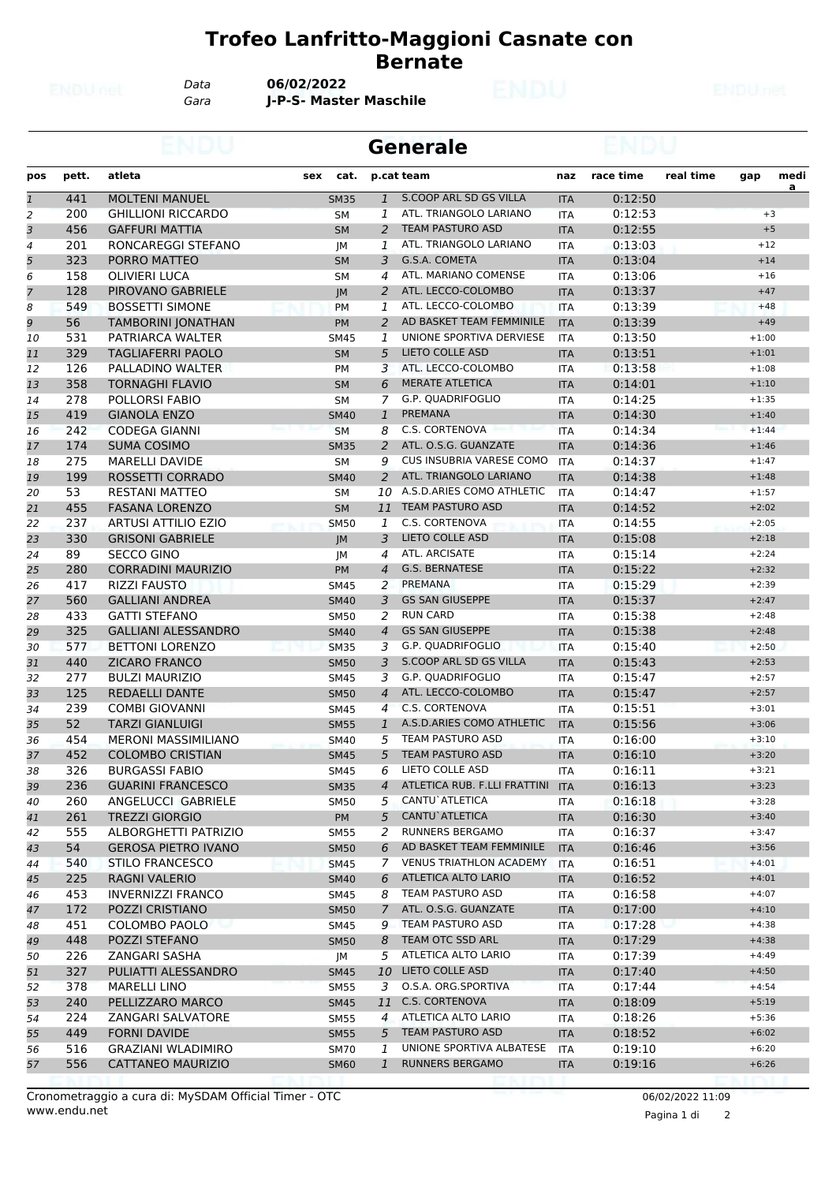*Data* **06/02/2022**

*Gara* **J-P-S- Master Maschile**

|     |       |                            |     |             |                | Generale                        |            |           |           |         |                        |
|-----|-------|----------------------------|-----|-------------|----------------|---------------------------------|------------|-----------|-----------|---------|------------------------|
| pos | pett. | atleta                     | sex | cat.        |                | p.cat team                      | naz        | race time | real time | gap     | medi<br>$\overline{a}$ |
| 1   | 441   | <b>MOLTENI MANUEL</b>      |     | <b>SM35</b> | $\mathbf{1}$   | S.COOP ARL SD GS VILLA          | <b>ITA</b> | 0:12:50   |           |         |                        |
| 2   | 200   | <b>GHILLIONI RICCARDO</b>  |     | <b>SM</b>   | $\mathbf{1}$   | ATL. TRIANGOLO LARIANO          | <b>ITA</b> | 0:12:53   |           |         | $+3$                   |
| 3   | 456   | <b>GAFFURI MATTIA</b>      |     | <b>SM</b>   | 2              | <b>TEAM PASTURO ASD</b>         | <b>ITA</b> | 0:12:55   |           |         | $+5$                   |
| 4   | 201   | RONCAREGGI STEFANO         |     | JМ          | 1              | ATL. TRIANGOLO LARIANO          | <b>ITA</b> | 0:13:03   |           | $+12$   |                        |
| 5   | 323   | PORRO MATTEO               |     | <b>SM</b>   | 3              | G.S.A. COMETA                   | <b>ITA</b> | 0:13:04   |           | $+14$   |                        |
| 6   | 158   | <b>OLIVIERI LUCA</b>       |     | <b>SM</b>   | 4              | ATL. MARIANO COMENSE            | <b>ITA</b> | 0:13:06   |           | $+16$   |                        |
| 7   | 128   | PIROVANO GABRIELE          |     | <b>JM</b>   | 2              | ATL. LECCO-COLOMBO              | <b>ITA</b> | 0:13:37   |           | $+47$   |                        |
| 8   | 549   | <b>BOSSETTI SIMONE</b>     |     | <b>PM</b>   | 1              | ATL. LECCO-COLOMBO              | <b>ITA</b> | 0:13:39   |           | $+48$   |                        |
| 9   | 56    | TAMBORINI JONATHAN         |     | <b>PM</b>   | 2              | AD BASKET TEAM FEMMINILE        | <b>ITA</b> | 0:13:39   |           | $+49$   |                        |
| 10  | 531   | PATRIARCA WALTER           |     | <b>SM45</b> | 1              | UNIONE SPORTIVA DERVIESE        | <b>ITA</b> | 0:13:50   |           | $+1:00$ |                        |
| 11  | 329   | <b>TAGLIAFERRI PAOLO</b>   |     | <b>SM</b>   | 5              | <b>LIETO COLLE ASD</b>          | <b>ITA</b> | 0:13:51   |           | $+1:01$ |                        |
| 12  | 126   | PALLADINO WALTER           |     | <b>PM</b>   | 3              | ATL. LECCO-COLOMBO              | <b>ITA</b> | 0:13:58   |           | $+1:08$ |                        |
| 13  | 358   | TORNAGHI FLAVIO            |     | <b>SM</b>   | 6              | <b>MERATE ATLETICA</b>          | <b>ITA</b> | 0:14:01   |           | $+1:10$ |                        |
| 14  | 278   | POLLORSI FABIO             |     | <b>SM</b>   | 7              | G.P. QUADRIFOGLIO               | <b>ITA</b> | 0:14:25   |           | $+1:35$ |                        |
| 15  | 419   | <b>GIANOLA ENZO</b>        |     | <b>SM40</b> | $\mathbf{1}$   | PREMANA                         | <b>ITA</b> | 0:14:30   |           | $+1:40$ |                        |
| 16  | 242   | <b>CODEGA GIANNI</b>       |     | <b>SM</b>   | 8              | C.S. CORTENOVA                  | <b>ITA</b> | 0:14:34   |           | $+1:44$ |                        |
| 17  | 174   | <b>SUMA COSIMO</b>         |     | <b>SM35</b> | 2              | ATL. O.S.G. GUANZATE            | <b>ITA</b> | 0:14:36   |           | $+1:46$ |                        |
| 18  | 275   | <b>MARELLI DAVIDE</b>      |     | <b>SM</b>   | 9              | <b>CUS INSUBRIA VARESE COMO</b> | <b>ITA</b> | 0:14:37   |           | $+1:47$ |                        |
| 19  | 199   | ROSSETTI CORRADO           |     | <b>SM40</b> | 2              | ATL. TRIANGOLO LARIANO          | <b>ITA</b> | 0:14:38   |           | $+1:48$ |                        |
| 20  | 53    | <b>RESTANI MATTEO</b>      |     | <b>SM</b>   | 10             | A.S.D.ARIES COMO ATHLETIC       | <b>ITA</b> | 0:14:47   |           | $+1:57$ |                        |
| 21  | 455   | <b>FASANA LORENZO</b>      |     | <b>SM</b>   | 11             | <b>TEAM PASTURO ASD</b>         | <b>ITA</b> | 0:14:52   |           | $+2:02$ |                        |
| 22  | 237   | <b>ARTUSI ATTILIO EZIO</b> |     | <b>SM50</b> | 1              | C.S. CORTENOVA                  | ITA        | 0:14:55   |           | $+2:05$ |                        |
| 23  | 330   | <b>GRISONI GABRIELE</b>    |     | JM          | 3              | <b>LIETO COLLE ASD</b>          | <b>ITA</b> | 0:15:08   |           | $+2:18$ |                        |
| 24  | 89    | SECCO GINO                 |     | JМ          | 4              | ATL. ARCISATE                   | <b>ITA</b> | 0:15:14   |           | $+2:24$ |                        |
| 25  | 280   | <b>CORRADINI MAURIZIO</b>  |     | <b>PM</b>   | $\overline{4}$ | <b>G.S. BERNATESE</b>           | <b>ITA</b> | 0:15:22   |           | $+2:32$ |                        |
| 26  | 417   | <b>RIZZI FAUSTO</b>        |     | <b>SM45</b> | 2              | PREMANA                         | <b>ITA</b> | 0:15:29   |           | $+2:39$ |                        |
| 27  | 560   | <b>GALLIANI ANDREA</b>     |     | <b>SM40</b> | 3              | <b>GS SAN GIUSEPPE</b>          | <b>ITA</b> | 0:15:37   |           | $+2:47$ |                        |
| 28  | 433   | <b>GATTI STEFANO</b>       |     | <b>SM50</b> | 2              | <b>RUN CARD</b>                 | <b>ITA</b> | 0:15:38   |           | $+2:48$ |                        |
| 29  | 325   | <b>GALLIANI ALESSANDRO</b> |     | <b>SM40</b> | $\overline{4}$ | <b>GS SAN GIUSEPPE</b>          | <b>ITA</b> | 0:15:38   |           | $+2:48$ |                        |
| 30  | 577   | <b>BETTONI LORENZO</b>     |     | <b>SM35</b> | 3              | <b>G.P. QUADRIFOGLIO</b>        | <b>ITA</b> | 0:15:40   |           | $+2:50$ |                        |
| 31  | 440   | <b>ZICARO FRANCO</b>       |     | <b>SM50</b> | 3              | S.COOP ARL SD GS VILLA          | <b>ITA</b> | 0:15:43   |           | $+2:53$ |                        |
| 32  | 277   | <b>BULZI MAURIZIO</b>      |     | <b>SM45</b> | 3              | G.P. QUADRIFOGLIO               | <b>ITA</b> | 0:15:47   |           | $+2:57$ |                        |
| 33  | 125   | <b>REDAELLI DANTE</b>      |     | <b>SM50</b> | $\overline{4}$ | ATL. LECCO-COLOMBO              | <b>ITA</b> | 0:15:47   |           | $+2:57$ |                        |
| 34  | 239   | <b>COMBI GIOVANNI</b>      |     | <b>SM45</b> | $\overline{4}$ | C.S. CORTENOVA                  | <b>ITA</b> | 0:15:51   |           | $+3:01$ |                        |
| 35  | 52    | <b>TARZI GIANLUIGI</b>     |     | <b>SM55</b> | 1              | A.S.D.ARIES COMO ATHLETIC       | <b>ITA</b> | 0:15:56   |           | $+3:06$ |                        |
| 36  | 454   | <b>MERONI MASSIMILIANO</b> |     | <b>SM40</b> | 5              | TEAM PASTURO ASD                | <b>ITA</b> | 0:16:00   |           | $+3:10$ |                        |
| 37  | 452   | <b>COLOMBO CRISTIAN</b>    |     | <b>SM45</b> | 5              | <b>TEAM PASTURO ASD</b>         | <b>ITA</b> | 0:16:10   |           | $+3:20$ |                        |
| 38  | 326   | <b>BURGASSI FABIO</b>      |     | SM45        | 6              | LIETO COLLE ASD                 | ITA        | 0:16:11   |           | $+3:21$ |                        |
| 39  | 236   | <b>GUARINI FRANCESCO</b>   |     | <b>SM35</b> | $\overline{4}$ | ATLETICA RUB. F.LLI FRATTINI    | <b>ITA</b> | 0:16:13   |           | $+3:23$ |                        |
| 40  | 260   | ANGELUCCI GABRIELE         |     | <b>SM50</b> | 5              | CANTU`ATLETICA                  | ITA        | 0:16:18   |           | $+3:28$ |                        |
| 41  | 261   | <b>TREZZI GIORGIO</b>      |     | PM          | 5              | CANTU`ATLETICA                  | <b>ITA</b> | 0:16:30   |           | $+3:40$ |                        |
| 42  | 555   | ALBORGHETTI PATRIZIO       |     | <b>SM55</b> | 2              | <b>RUNNERS BERGAMO</b>          | ITA        | 0:16:37   |           | $+3:47$ |                        |
| 43  | 54    | <b>GEROSA PIETRO IVANO</b> |     | <b>SM50</b> | 6              | AD BASKET TEAM FEMMINILE        | <b>ITA</b> | 0:16:46   |           | $+3:56$ |                        |
| 44  | 540   | <b>STILO FRANCESCO</b>     |     | <b>SM45</b> | 7              | <b>VENUS TRIATHLON ACADEMY</b>  | ITA        | 0:16:51   |           | $+4:01$ |                        |
| 45  | 225   | RAGNI VALERIO              |     | <b>SM40</b> | 6              | <b>ATLETICA ALTO LARIO</b>      | <b>ITA</b> | 0:16:52   |           | $+4:01$ |                        |
| 46  | 453   | <b>INVERNIZZI FRANCO</b>   |     | SM45        | 8              | TEAM PASTURO ASD                | ITA        | 0:16:58   |           | $+4:07$ |                        |
| 47  | 172   | POZZI CRISTIANO            |     | <b>SM50</b> | $\mathcal{I}$  | ATL. O.S.G. GUANZATE            | <b>ITA</b> | 0:17:00   |           | $+4:10$ |                        |
| 48  | 451   | COLOMBO PAOLO              |     | <b>SM45</b> | 9              | TEAM PASTURO ASD                | <b>ITA</b> | 0:17:28   |           | $+4:38$ |                        |
| 49  | 448   | POZZI STEFANO              |     | <b>SM50</b> | 8              | TEAM OTC SSD ARL                | <b>ITA</b> | 0:17:29   |           | $+4:38$ |                        |
| 50  | 226   | ZANGARI SASHA              |     | JМ          | 5              | ATLETICA ALTO LARIO             | <b>ITA</b> | 0:17:39   |           | $+4:49$ |                        |
| 51  | 327   | PULIATTI ALESSANDRO        |     | <b>SM45</b> | 10             | LIETO COLLE ASD                 | <b>ITA</b> | 0:17:40   |           | $+4:50$ |                        |
| 52  | 378   | <b>MARELLI LINO</b>        |     | <b>SM55</b> | 3              | O.S.A. ORG.SPORTIVA             | <b>ITA</b> | 0:17:44   |           | $+4:54$ |                        |
| 53  | 240   | PELLIZZARO MARCO           |     | <b>SM45</b> | 11             | C.S. CORTENOVA                  | <b>ITA</b> | 0:18:09   |           | $+5:19$ |                        |
| 54  | 224   | ZANGARI SALVATORE          |     | <b>SM55</b> | 4              | ATLETICA ALTO LARIO             | <b>ITA</b> | 0:18:26   |           | $+5:36$ |                        |
| 55  | 449   | <b>FORNI DAVIDE</b>        |     | <b>SM55</b> | 5              | <b>TEAM PASTURO ASD</b>         | <b>ITA</b> | 0:18:52   |           | $+6:02$ |                        |
| 56  | 516   | <b>GRAZIANI WLADIMIRO</b>  |     | <b>SM70</b> | 1              | UNIONE SPORTIVA ALBATESE        | ITA        | 0:19:10   |           | $+6:20$ |                        |
| 57  | 556   | CATTANEO MAURIZIO          |     | <b>SM60</b> | $\mathbf{1}$   | <b>RUNNERS BERGAMO</b>          | <b>ITA</b> | 0:19:16   |           | $+6:26$ |                        |

Pagina 1 di 2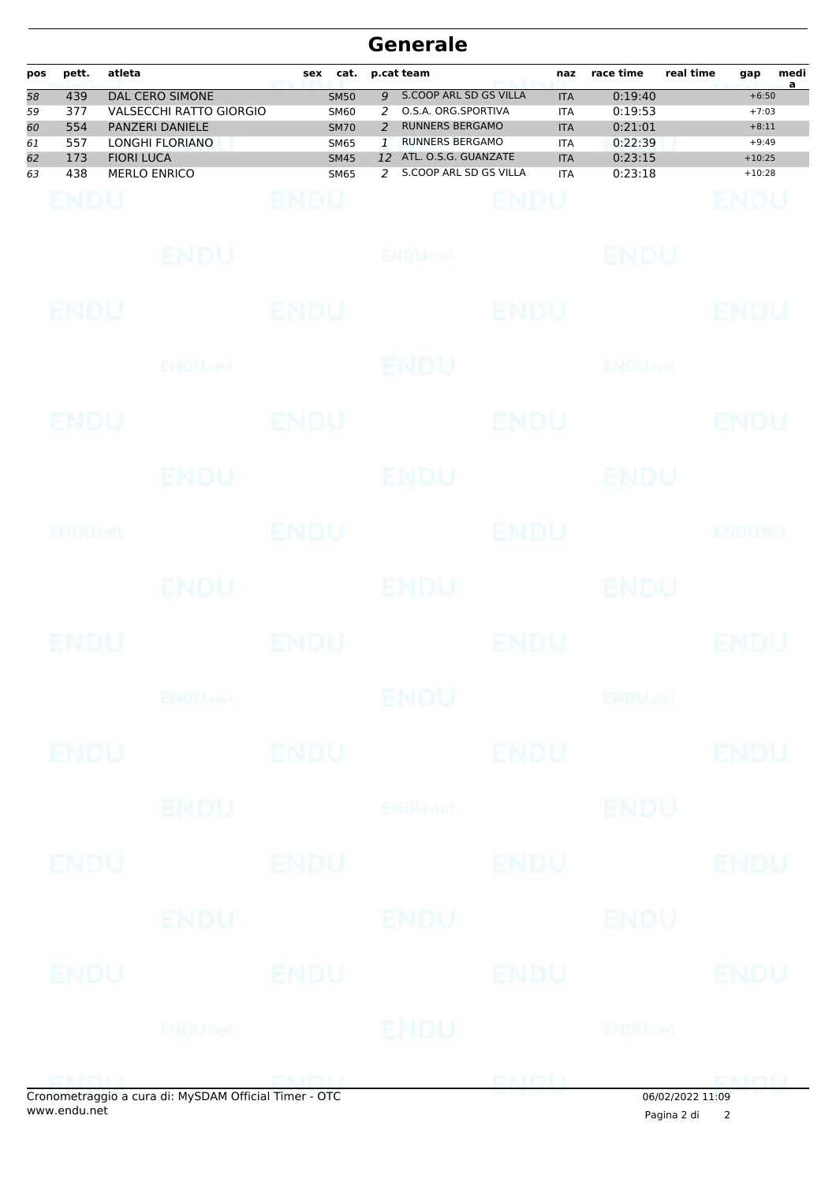| pos                              | pett.                                  | atleta            |                                                                                                                              | sex         | cat.                                                                                   |                                        | p.cat team                                                                                                                                                 |             | naz                                                                              | race time                                                      | real time | gap                                                              | medi<br>a |
|----------------------------------|----------------------------------------|-------------------|------------------------------------------------------------------------------------------------------------------------------|-------------|----------------------------------------------------------------------------------------|----------------------------------------|------------------------------------------------------------------------------------------------------------------------------------------------------------|-------------|----------------------------------------------------------------------------------|----------------------------------------------------------------|-----------|------------------------------------------------------------------|-----------|
| 58<br>59<br>60<br>61<br>62<br>63 | 439<br>377<br>554<br>557<br>173<br>438 | <b>FIORI LUCA</b> | <b>DAL CERO SIMONE</b><br><b>VALSECCHI RATTO GIORGIO</b><br>PANZERI DANIELE<br><b>LONGHI FLORIANO</b><br><b>MERLO ENRICO</b> |             | <b>SM50</b><br><b>SM60</b><br><b>SM70</b><br><b>SM65</b><br><b>SM45</b><br><b>SM65</b> | 9<br>2<br>2<br>$\mathbf{1}$<br>12<br>2 | <b>S.COOP ARL SD GS VILLA</b><br>O.S.A. ORG.SPORTIVA<br><b>RUNNERS BERGAMO</b><br><b>RUNNERS BERGAMO</b><br>ATL. O.S.G. GUANZATE<br>S.COOP ARL SD GS VILLA |             | <b>ITA</b><br><b>ITA</b><br><b>ITA</b><br><b>ITA</b><br><b>ITA</b><br><b>ITA</b> | 0:19:40<br>0:19:53<br>0:21:01<br>0:22:39<br>0:23:15<br>0:23:18 |           | $+6:50$<br>$+7:03$<br>$+8:11$<br>$+9:49$<br>$+10:25$<br>$+10:28$ |           |
|                                  | ENDU                                   |                   |                                                                                                                              | <b>ENDU</b> |                                                                                        |                                        |                                                                                                                                                            | <b>ENDU</b> |                                                                                  |                                                                |           | ENDU                                                             |           |
|                                  |                                        |                   | ENDU                                                                                                                         |             |                                                                                        |                                        | <b>ENDULTEL</b>                                                                                                                                            |             |                                                                                  | ENDU                                                           |           |                                                                  |           |
|                                  | <b>ENDU</b>                            |                   |                                                                                                                              | <b>ENDU</b> |                                                                                        |                                        |                                                                                                                                                            | <b>ENDU</b> |                                                                                  |                                                                |           | ENDU                                                             |           |
|                                  |                                        |                   | <b>ENDU</b> net                                                                                                              |             |                                                                                        |                                        | ENDU                                                                                                                                                       |             |                                                                                  | <b>ENDUnet</b>                                                 |           |                                                                  |           |
|                                  | ENDU                                   |                   |                                                                                                                              | ENDU        |                                                                                        |                                        |                                                                                                                                                            | ENDU        |                                                                                  |                                                                |           | ENDU                                                             |           |
|                                  |                                        |                   | ENDU                                                                                                                         |             |                                                                                        |                                        | <b>ENDU</b>                                                                                                                                                |             |                                                                                  | ENDU                                                           |           |                                                                  |           |
|                                  | ENDUMet                                |                   |                                                                                                                              | <b>ENDU</b> |                                                                                        |                                        |                                                                                                                                                            | <b>ENDU</b> |                                                                                  |                                                                |           | <b>ENDUTIEL</b>                                                  |           |
|                                  |                                        |                   | ENDU.                                                                                                                        |             |                                                                                        |                                        | ENDU                                                                                                                                                       |             |                                                                                  | ENDU                                                           |           |                                                                  |           |
|                                  | ENDU                                   |                   |                                                                                                                              | ENDU        |                                                                                        |                                        |                                                                                                                                                            | <b>ENDU</b> |                                                                                  |                                                                |           | ENDU                                                             |           |
|                                  |                                        |                   | <b>ENDUMBL</b>                                                                                                               |             |                                                                                        |                                        | <b>ENDU</b>                                                                                                                                                |             |                                                                                  | <b>ENDU<sub>JICI</sub></b>                                     |           |                                                                  |           |
|                                  | <b>ENDU</b>                            |                   |                                                                                                                              | <b>ENDU</b> |                                                                                        |                                        |                                                                                                                                                            | <b>ENDU</b> |                                                                                  |                                                                |           | <b>ENDU</b>                                                      |           |
|                                  |                                        |                   | <b>ENDU</b>                                                                                                                  |             |                                                                                        |                                        | ENDUnet                                                                                                                                                    |             |                                                                                  | <b>ENDU</b>                                                    |           |                                                                  |           |
|                                  | <b>ENDU</b>                            |                   |                                                                                                                              | <b>ENDU</b> |                                                                                        |                                        |                                                                                                                                                            | <b>ENDU</b> |                                                                                  |                                                                |           | <b>ENDU</b>                                                      |           |
|                                  |                                        |                   | ENDU                                                                                                                         |             |                                                                                        |                                        | ENDU                                                                                                                                                       |             |                                                                                  | ENDU                                                           |           |                                                                  |           |
|                                  | <b>ENDU</b>                            |                   |                                                                                                                              | <b>ENDU</b> |                                                                                        |                                        |                                                                                                                                                            | <b>ENDU</b> |                                                                                  |                                                                |           | <b>ENDU</b>                                                      |           |
|                                  |                                        |                   | <b>ENDU</b> nel                                                                                                              |             |                                                                                        |                                        | ENDU                                                                                                                                                       |             |                                                                                  | <b>ENDUmet</b>                                                 |           |                                                                  |           |
|                                  | ENDU                                   |                   |                                                                                                                              | ENDIL       |                                                                                        |                                        |                                                                                                                                                            | ENDU        |                                                                                  |                                                                |           | <b>ENDU</b>                                                      |           |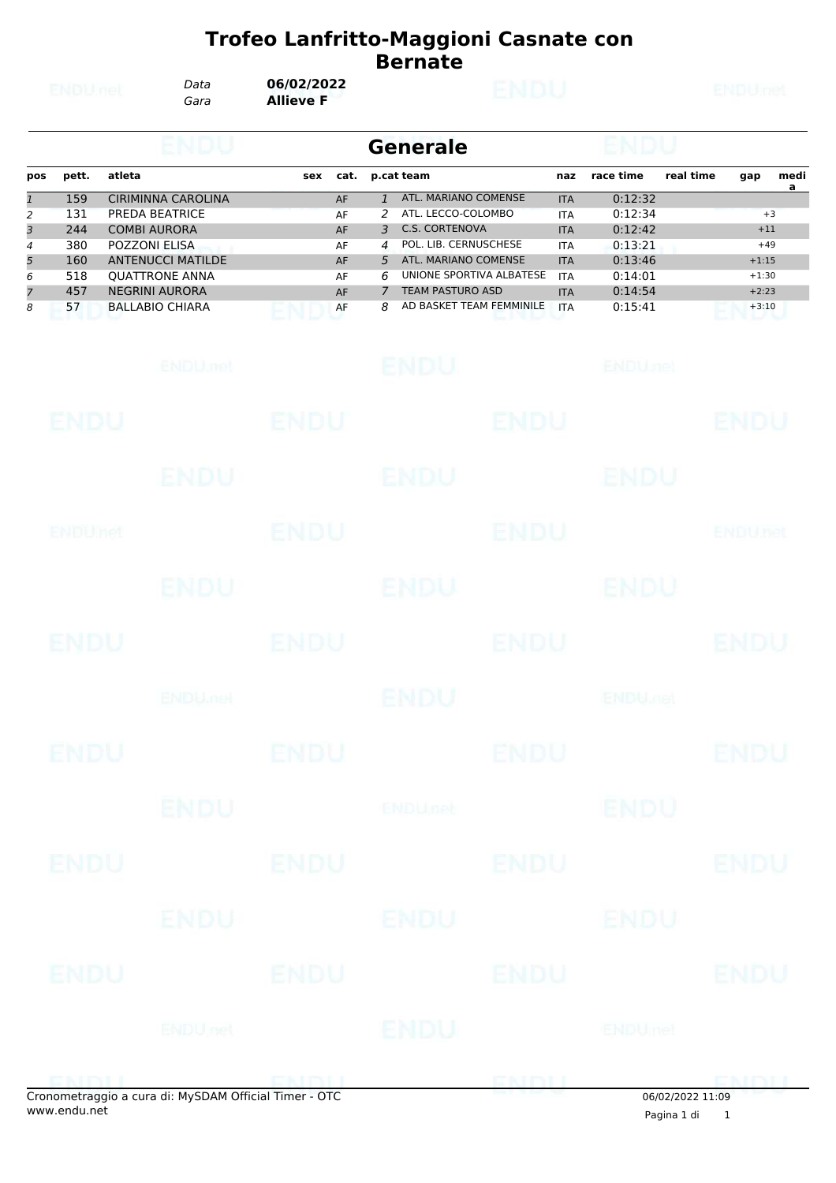| <b>ENDUnet</b>                                  |                                                     | Data<br>Gara | 06/02/2022<br><b>ENDU</b><br><b>Allieve F</b>                                                                                                                                               |                 |                                              |                                                 |                                                                                                                                                                                                         |             |                                                                                                              |                                                                                      | <b>ENDUmet</b> |                                                            |           |  |  |
|-------------------------------------------------|-----------------------------------------------------|--------------|---------------------------------------------------------------------------------------------------------------------------------------------------------------------------------------------|-----------------|----------------------------------------------|-------------------------------------------------|---------------------------------------------------------------------------------------------------------------------------------------------------------------------------------------------------------|-------------|--------------------------------------------------------------------------------------------------------------|--------------------------------------------------------------------------------------|----------------|------------------------------------------------------------|-----------|--|--|
|                                                 |                                                     |              | ENDU                                                                                                                                                                                        | <b>Generale</b> |                                              |                                                 |                                                                                                                                                                                                         |             |                                                                                                              |                                                                                      |                |                                                            |           |  |  |
| pos                                             | pett.                                               | atleta       |                                                                                                                                                                                             | sex             | cat.                                         |                                                 | p.cat team                                                                                                                                                                                              |             | naz                                                                                                          | race time                                                                            | real time      | gap                                                        | medi<br>a |  |  |
| $\mathbf{1}$<br>2<br>3<br>4<br>5<br>6<br>7<br>8 | 159<br>131<br>244<br>380<br>160<br>518<br>457<br>57 |              | <b>CIRIMINNA CAROLINA</b><br>PREDA BEATRICE<br><b>COMBI AURORA</b><br>POZZONI ELISA<br><b>ANTENUCCI MATILDE</b><br><b>QUATTRONE ANNA</b><br><b>NEGRINI AURORA</b><br><b>BALLABIO CHIARA</b> |                 | AF<br>AF<br>AF<br>AF<br>AF<br>AF<br>AF<br>AF | $\mathbf{1}$<br>2<br>3<br>4<br>5<br>6<br>7<br>8 | ATL. MARIANO COMENSE<br>ATL. LECCO-COLOMBO<br><b>C.S. CORTENOVA</b><br>POL. LIB. CERNUSCHESE<br>ATL. MARIANO COMENSE<br>UNIONE SPORTIVA ALBATESE<br><b>TEAM PASTURO ASD</b><br>AD BASKET TEAM FEMMINILE |             | <b>ITA</b><br><b>ITA</b><br><b>ITA</b><br><b>ITA</b><br><b>ITA</b><br><b>ITA</b><br><b>ITA</b><br><b>ITA</b> | 0:12:32<br>0:12:34<br>0:12:42<br>0:13:21<br>0:13:46<br>0:14:01<br>0:14:54<br>0:15:41 |                | $+11$<br>$+49$<br>$+1:15$<br>$+1:30$<br>$+2:23$<br>$+3:10$ | $+3$      |  |  |
|                                                 |                                                     |              | ENDU, nel                                                                                                                                                                                   |                 |                                              |                                                 | <b>ENDU</b>                                                                                                                                                                                             |             |                                                                                                              | <b>ENDUnet</b>                                                                       |                |                                                            |           |  |  |
|                                                 | ENDU                                                |              |                                                                                                                                                                                             | ENDU            |                                              |                                                 |                                                                                                                                                                                                         | <b>ENDU</b> |                                                                                                              |                                                                                      |                | ENDU                                                       |           |  |  |
|                                                 |                                                     |              | ENDU                                                                                                                                                                                        |                 |                                              |                                                 | <b>ENDU</b>                                                                                                                                                                                             |             |                                                                                                              | ENDU                                                                                 |                |                                                            |           |  |  |
|                                                 | ENDUMet                                             |              |                                                                                                                                                                                             | ENDU            |                                              |                                                 |                                                                                                                                                                                                         | ENDU        |                                                                                                              |                                                                                      |                | ENDUnet                                                    |           |  |  |
|                                                 |                                                     |              | ENDU.                                                                                                                                                                                       |                 |                                              |                                                 | <b>ENDU</b>                                                                                                                                                                                             |             |                                                                                                              | ENDU                                                                                 |                |                                                            |           |  |  |
|                                                 | ENDU                                                |              |                                                                                                                                                                                             | ENDU            |                                              |                                                 |                                                                                                                                                                                                         | <b>ENDU</b> |                                                                                                              |                                                                                      |                | ENDU                                                       |           |  |  |
|                                                 |                                                     |              | <b>ENDUMBL</b>                                                                                                                                                                              |                 |                                              |                                                 | <b>ENDU</b>                                                                                                                                                                                             |             |                                                                                                              | <b>ENDU<sub>Del</sub></b>                                                            |                |                                                            |           |  |  |
|                                                 | <b>ENDU</b>                                         |              |                                                                                                                                                                                             | <b>ENDU</b>     |                                              |                                                 |                                                                                                                                                                                                         | <b>ENDU</b> |                                                                                                              |                                                                                      |                | <b>ENDU</b>                                                |           |  |  |
|                                                 |                                                     |              | <b>ENDU</b>                                                                                                                                                                                 |                 |                                              |                                                 | <b>ENDUnet</b>                                                                                                                                                                                          |             |                                                                                                              | <b>ENDU</b>                                                                          |                |                                                            |           |  |  |
|                                                 | <b>ENDU</b>                                         |              |                                                                                                                                                                                             | <b>ENDU</b>     |                                              |                                                 |                                                                                                                                                                                                         | <b>ENDU</b> |                                                                                                              |                                                                                      |                | <b>ENDU</b>                                                |           |  |  |
|                                                 |                                                     |              | ENDU                                                                                                                                                                                        |                 |                                              |                                                 | ENDU                                                                                                                                                                                                    |             |                                                                                                              | ENDU                                                                                 |                |                                                            |           |  |  |
|                                                 | <b>ENDU</b>                                         |              |                                                                                                                                                                                             | <b>ENDU</b>     |                                              |                                                 |                                                                                                                                                                                                         | <b>ENDU</b> |                                                                                                              |                                                                                      |                | <b>ENDU</b>                                                |           |  |  |
|                                                 |                                                     |              | <b>ENDUnet</b>                                                                                                                                                                              |                 |                                              |                                                 | ENDU                                                                                                                                                                                                    |             |                                                                                                              | ENDUmet                                                                              |                |                                                            |           |  |  |